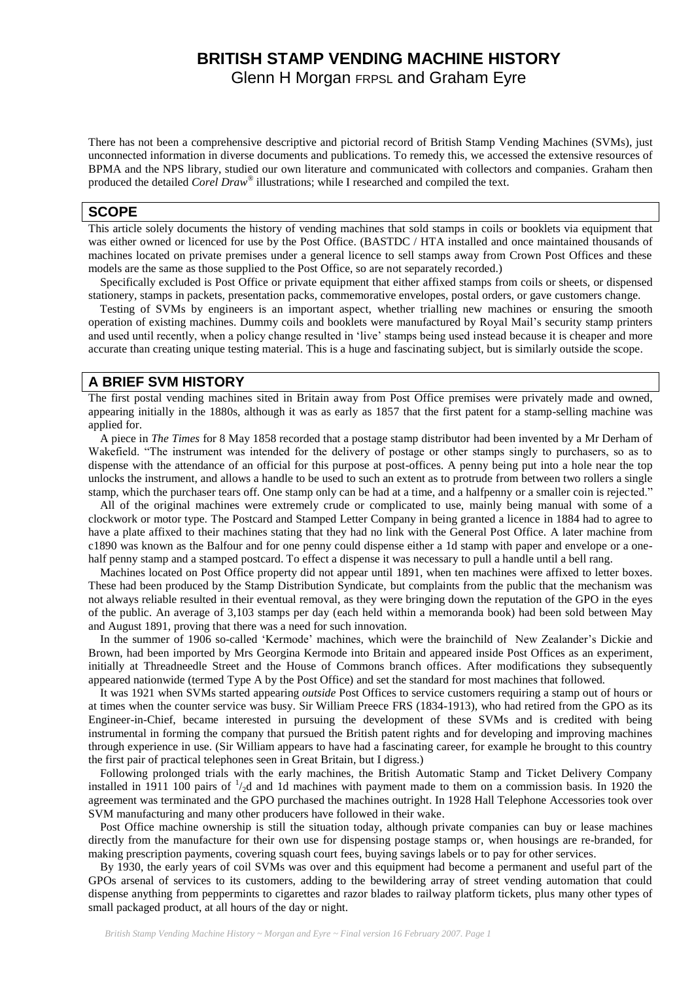# **BRITISH STAMP VENDING MACHINE HISTORY**

Glenn H Morgan FRPSL and Graham Eyre

There has not been a comprehensive descriptive and pictorial record of British Stamp Vending Machines (SVMs), just unconnected information in diverse documents and publications. To remedy this, we accessed the extensive resources of BPMA and the NPS library, studied our own literature and communicated with collectors and companies. Graham then produced the detailed *Corel Draw®* illustrations; while I researched and compiled the text.

## **SCOPE**

This article solely documents the history of vending machines that sold stamps in coils or booklets via equipment that was either owned or licenced for use by the Post Office. (BASTDC / HTA installed and once maintained thousands of machines located on private premises under a general licence to sell stamps away from Crown Post Offices and these models are the same as those supplied to the Post Office, so are not separately recorded.)

 Specifically excluded is Post Office or private equipment that either affixed stamps from coils or sheets, or dispensed stationery, stamps in packets, presentation packs, commemorative envelopes, postal orders, or gave customers change.

 Testing of SVMs by engineers is an important aspect, whether trialling new machines or ensuring the smooth operation of existing machines. Dummy coils and booklets were manufactured by Royal Mail"s security stamp printers and used until recently, when a policy change resulted in "live" stamps being used instead because it is cheaper and more accurate than creating unique testing material. This is a huge and fascinating subject, but is similarly outside the scope.

# **A BRIEF SVM HISTORY**

The first postal vending machines sited in Britain away from Post Office premises were privately made and owned, appearing initially in the 1880s, although it was as early as 1857 that the first patent for a stamp-selling machine was applied for.

 A piece in *The Times* for 8 May 1858 recorded that a postage stamp distributor had been invented by a Mr Derham of Wakefield. "The instrument was intended for the delivery of postage or other stamps singly to purchasers, so as to dispense with the attendance of an official for this purpose at post-offices. A penny being put into a hole near the top unlocks the instrument, and allows a handle to be used to such an extent as to protrude from between two rollers a single stamp, which the purchaser tears off. One stamp only can be had at a time, and a halfpenny or a smaller coin is rejected."

 All of the original machines were extremely crude or complicated to use, mainly being manual with some of a clockwork or motor type. The Postcard and Stamped Letter Company in being granted a licence in 1884 had to agree to have a plate affixed to their machines stating that they had no link with the General Post Office. A later machine from c1890 was known as the Balfour and for one penny could dispense either a 1d stamp with paper and envelope or a onehalf penny stamp and a stamped postcard. To effect a dispense it was necessary to pull a handle until a bell rang.

 Machines located on Post Office property did not appear until 1891, when ten machines were affixed to letter boxes. These had been produced by the Stamp Distribution Syndicate, but complaints from the public that the mechanism was not always reliable resulted in their eventual removal, as they were bringing down the reputation of the GPO in the eyes of the public. An average of 3,103 stamps per day (each held within a memoranda book) had been sold between May and August 1891, proving that there was a need for such innovation.

 In the summer of 1906 so-called "Kermode" machines, which were the brainchild of New Zealander"s Dickie and Brown, had been imported by Mrs Georgina Kermode into Britain and appeared inside Post Offices as an experiment, initially at Threadneedle Street and the House of Commons branch offices. After modifications they subsequently appeared nationwide (termed Type A by the Post Office) and set the standard for most machines that followed*.*

 It was 1921 when SVMs started appearing *outside* Post Offices to service customers requiring a stamp out of hours or at times when the counter service was busy. Sir William Preece FRS (1834-1913), who had retired from the GPO as its Engineer-in-Chief, became interested in pursuing the development of these SVMs and is credited with being instrumental in forming the company that pursued the British patent rights and for developing and improving machines through experience in use. (Sir William appears to have had a fascinating career, for example he brought to this country the first pair of practical telephones seen in Great Britain, but I digress.)

 Following prolonged trials with the early machines, the British Automatic Stamp and Ticket Delivery Company installed in 1911 100 pairs of  $\frac{1}{2}$ d and 1d machines with payment made to them on a commission basis. In 1920 the agreement was terminated and the GPO purchased the machines outright. In 1928 Hall Telephone Accessories took over SVM manufacturing and many other producers have followed in their wake.

 Post Office machine ownership is still the situation today, although private companies can buy or lease machines directly from the manufacture for their own use for dispensing postage stamps or, when housings are re-branded, for making prescription payments, covering squash court fees, buying savings labels or to pay for other services.

 By 1930, the early years of coil SVMs was over and this equipment had become a permanent and useful part of the GPOs arsenal of services to its customers, adding to the bewildering array of street vending automation that could dispense anything from peppermints to cigarettes and razor blades to railway platform tickets, plus many other types of small packaged product, at all hours of the day or night.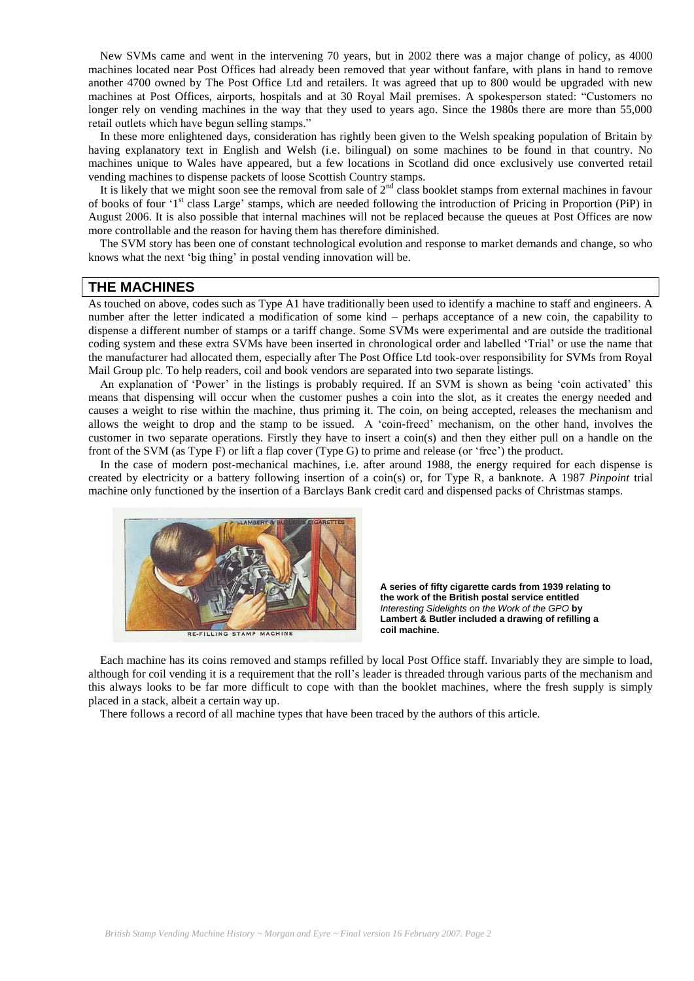New SVMs came and went in the intervening 70 years, but in 2002 there was a major change of policy, as 4000 machines located near Post Offices had already been removed that year without fanfare, with plans in hand to remove another 4700 owned by The Post Office Ltd and retailers. It was agreed that up to 800 would be upgraded with new machines at Post Offices, airports, hospitals and at 30 Royal Mail premises. A spokesperson stated: "Customers no longer rely on vending machines in the way that they used to years ago. Since the 1980s there are more than 55,000 retail outlets which have begun selling stamps."

 In these more enlightened days, consideration has rightly been given to the Welsh speaking population of Britain by having explanatory text in English and Welsh (i.e. bilingual) on some machines to be found in that country. No machines unique to Wales have appeared, but a few locations in Scotland did once exclusively use converted retail vending machines to dispense packets of loose Scottish Country stamps.

It is likely that we might soon see the removal from sale of  $2<sup>nd</sup>$  class booklet stamps from external machines in favour of books of four '1<sup>st</sup> class Large' stamps, which are needed following the introduction of Pricing in Proportion (PiP) in August 2006. It is also possible that internal machines will not be replaced because the queues at Post Offices are now more controllable and the reason for having them has therefore diminished.

 The SVM story has been one of constant technological evolution and response to market demands and change, so who knows what the next "big thing" in postal vending innovation will be.

# **THE MACHINES**

As touched on above, codes such as Type A1 have traditionally been used to identify a machine to staff and engineers. A number after the letter indicated a modification of some kind – perhaps acceptance of a new coin, the capability to dispense a different number of stamps or a tariff change. Some SVMs were experimental and are outside the traditional coding system and these extra SVMs have been inserted in chronological order and labelled "Trial" or use the name that the manufacturer had allocated them, especially after The Post Office Ltd took-over responsibility for SVMs from Royal Mail Group plc. To help readers, coil and book vendors are separated into two separate listings.

An explanation of 'Power' in the listings is probably required. If an SVM is shown as being 'coin activated' this means that dispensing will occur when the customer pushes a coin into the slot, as it creates the energy needed and causes a weight to rise within the machine, thus priming it. The coin, on being accepted, releases the mechanism and allows the weight to drop and the stamp to be issued. A "coin-freed" mechanism, on the other hand, involves the customer in two separate operations. Firstly they have to insert a coin(s) and then they either pull on a handle on the front of the SVM (as Type F) or lift a flap cover (Type G) to prime and release (or "free") the product.

 In the case of modern post-mechanical machines, i.e. after around 1988, the energy required for each dispense is created by electricity or a battery following insertion of a coin(s) or, for Type R, a banknote. A 1987 *Pinpoint* trial machine only functioned by the insertion of a Barclays Bank credit card and dispensed packs of Christmas stamps.



RE-FILLING STAMP MACHINE

**A series of fifty cigarette cards from 1939 relating to the work of the British postal service entitled**  *Interesting Sidelights on the Work of the GPO* **by Lambert & Butler included a drawing of refilling a coil machine.**

 Each machine has its coins removed and stamps refilled by local Post Office staff. Invariably they are simple to load, although for coil vending it is a requirement that the roll"s leader is threaded through various parts of the mechanism and this always looks to be far more difficult to cope with than the booklet machines, where the fresh supply is simply placed in a stack, albeit a certain way up.

There follows a record of all machine types that have been traced by the authors of this article.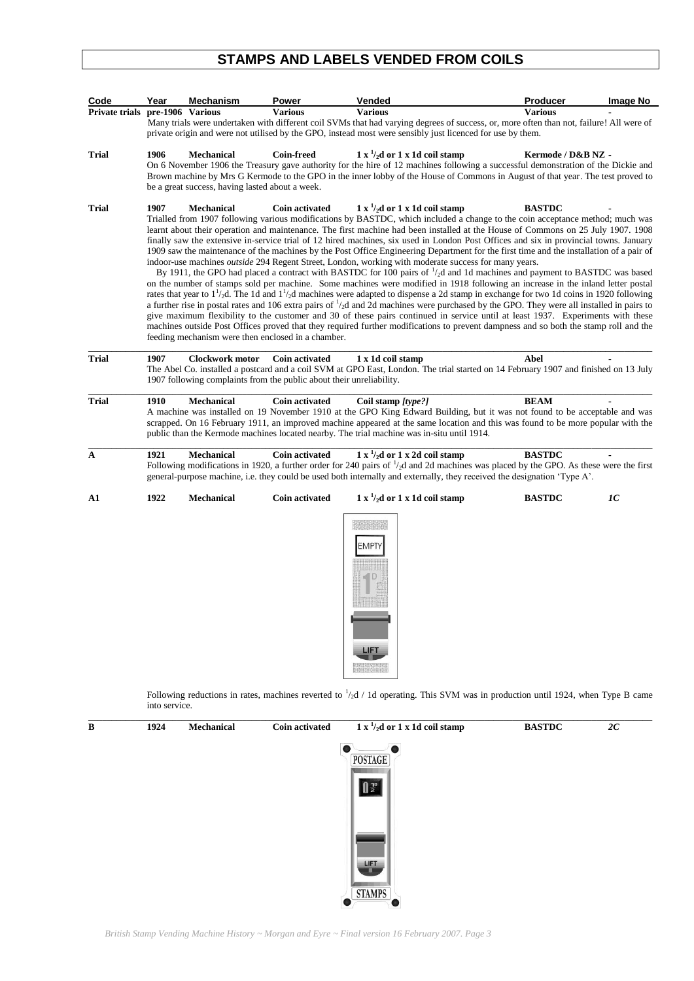# **STAMPS AND LABELS VENDED FROM COILS**

| Code                            | Year                  | Mechanism                                                     | Power                                                                                         | Vended                                                                                                                                                                                                                                                                                                                                                                                                                                                                                                                                                                                                                                                                                                                                                                                                                                                                                                                                                                                                                                                                                                                                                                                                                                                                                                                                                                                                                                                                                                                                                                      | Producer           | Image No |
|---------------------------------|-----------------------|---------------------------------------------------------------|-----------------------------------------------------------------------------------------------|-----------------------------------------------------------------------------------------------------------------------------------------------------------------------------------------------------------------------------------------------------------------------------------------------------------------------------------------------------------------------------------------------------------------------------------------------------------------------------------------------------------------------------------------------------------------------------------------------------------------------------------------------------------------------------------------------------------------------------------------------------------------------------------------------------------------------------------------------------------------------------------------------------------------------------------------------------------------------------------------------------------------------------------------------------------------------------------------------------------------------------------------------------------------------------------------------------------------------------------------------------------------------------------------------------------------------------------------------------------------------------------------------------------------------------------------------------------------------------------------------------------------------------------------------------------------------------|--------------------|----------|
| Private trials pre-1906 Various |                       |                                                               | <b>Various</b>                                                                                | <b>Various</b><br>Many trials were undertaken with different coil SVMs that had varying degrees of success, or, more often than not, failure! All were of<br>private origin and were not utilised by the GPO, instead most were sensibly just licenced for use by them.                                                                                                                                                                                                                                                                                                                                                                                                                                                                                                                                                                                                                                                                                                                                                                                                                                                                                                                                                                                                                                                                                                                                                                                                                                                                                                     | <b>Various</b>     |          |
| <b>Trial</b>                    | 1906                  | Mechanical<br>be a great success, having lasted about a week. | <b>Coin-freed</b>                                                                             | $1 x \frac{1}{2}$ d or $1 x 1d$ coil stamp<br>On 6 November 1906 the Treasury gave authority for the hire of 12 machines following a successful demonstration of the Dickie and<br>Brown machine by Mrs G Kermode to the GPO in the inner lobby of the House of Commons in August of that year. The test proved to                                                                                                                                                                                                                                                                                                                                                                                                                                                                                                                                                                                                                                                                                                                                                                                                                                                                                                                                                                                                                                                                                                                                                                                                                                                          | Kermode / D&B NZ - |          |
| <b>Trial</b>                    | 1907                  | Mechanical                                                    | <b>Coin activated</b><br>feeding mechanism were then enclosed in a chamber.                   | $1 x \frac{1}{2}$ d or $1 x 1d$ coil stamp<br>Trialled from 1907 following various modifications by BASTDC, which included a change to the coin acceptance method; much was<br>learnt about their operation and maintenance. The first machine had been installed at the House of Commons on 25 July 1907. 1908<br>finally saw the extensive in-service trial of 12 hired machines, six used in London Post Offices and six in provincial towns. January<br>1909 saw the maintenance of the machines by the Post Office Engineering Department for the first time and the installation of a pair of<br>indoor-use machines outside 294 Regent Street, London, working with moderate success for many years.<br>By 1911, the GPO had placed a contract with BASTDC for 100 pairs of $\frac{1}{2}$ d and 1d machines and payment to BASTDC was based<br>on the number of stamps sold per machine. Some machines were modified in 1918 following an increase in the inland letter postal<br>rates that year to $1^{1}/2d$ . The 1d and $1^{1}/2d$ machines were adapted to dispense a 2d stamp in exchange for two 1d coins in 1920 following<br>a further rise in postal rates and 106 extra pairs of $\frac{1}{2}$ and 2d machines were purchased by the GPO. They were all installed in pairs to<br>give maximum flexibility to the customer and 30 of these pairs continued in service until at least 1937. Experiments with these<br>machines outside Post Offices proved that they required further modifications to prevent dampness and so both the stamp roll and the | <b>BASTDC</b>      |          |
| <b>Trial</b>                    | 1907                  | <b>Clockwork motor</b>                                        | <b>Coin activated</b><br>1907 following complaints from the public about their unreliability. | 1 x 1d coil stamp<br>The Abel Co. installed a postcard and a coil SVM at GPO East, London. The trial started on 14 February 1907 and finished on 13 July                                                                                                                                                                                                                                                                                                                                                                                                                                                                                                                                                                                                                                                                                                                                                                                                                                                                                                                                                                                                                                                                                                                                                                                                                                                                                                                                                                                                                    | Abel               |          |
| <b>Trial</b>                    | 1910                  | <b>Mechanical</b>                                             | Coin activated                                                                                | Coil stamp [type?]<br>A machine was installed on 19 November 1910 at the GPO King Edward Building, but it was not found to be acceptable and was<br>scrapped. On 16 February 1911, an improved machine appeared at the same location and this was found to be more popular with the<br>public than the Kermode machines located nearby. The trial machine was in-situ until 1914.                                                                                                                                                                                                                                                                                                                                                                                                                                                                                                                                                                                                                                                                                                                                                                                                                                                                                                                                                                                                                                                                                                                                                                                           | <b>BEAM</b>        |          |
| A                               | 1921                  | <b>Mechanical</b>                                             | <b>Coin activated</b>                                                                         | $1 x \frac{1}{2}$ d or $1 x 2d$ coil stamp<br>Following modifications in 1920, a further order for 240 pairs of $\frac{1}{2}$ d and 2d machines was placed by the GPO. As these were the first<br>general-purpose machine, i.e. they could be used both internally and externally, they received the designation 'Type A'.                                                                                                                                                                                                                                                                                                                                                                                                                                                                                                                                                                                                                                                                                                                                                                                                                                                                                                                                                                                                                                                                                                                                                                                                                                                  | <b>BASTDC</b>      |          |
| A1                              | 1922                  | Mechanical                                                    | <b>Coin activated</b>                                                                         | $1 x \frac{1}{2}$ d or $1 x 1d$ coil stamp<br><b>EMPTY</b><br><b>LIFT</b><br>Following reductions in rates, machines reverted to $\frac{1}{2}d$ / 1d operating. This SVM was in production until 1924, when Type B came                                                                                                                                                                                                                                                                                                                                                                                                                                                                                                                                                                                                                                                                                                                                                                                                                                                                                                                                                                                                                                                                                                                                                                                                                                                                                                                                                     | <b>BASTDC</b>      | 1C       |
| B                               | into service.<br>1924 | Mechanical                                                    | <b>Coin activated</b>                                                                         | $1 x \frac{1}{2}$ d or $1 x 1d$ coil stamp                                                                                                                                                                                                                                                                                                                                                                                                                                                                                                                                                                                                                                                                                                                                                                                                                                                                                                                                                                                                                                                                                                                                                                                                                                                                                                                                                                                                                                                                                                                                  | <b>BASTDC</b>      | 2C       |
|                                 |                       |                                                               |                                                                                               | <b>POSTAGE</b><br>$\frac{1}{2}$<br>LIFT<br><b>STAMPS</b>                                                                                                                                                                                                                                                                                                                                                                                                                                                                                                                                                                                                                                                                                                                                                                                                                                                                                                                                                                                                                                                                                                                                                                                                                                                                                                                                                                                                                                                                                                                    |                    |          |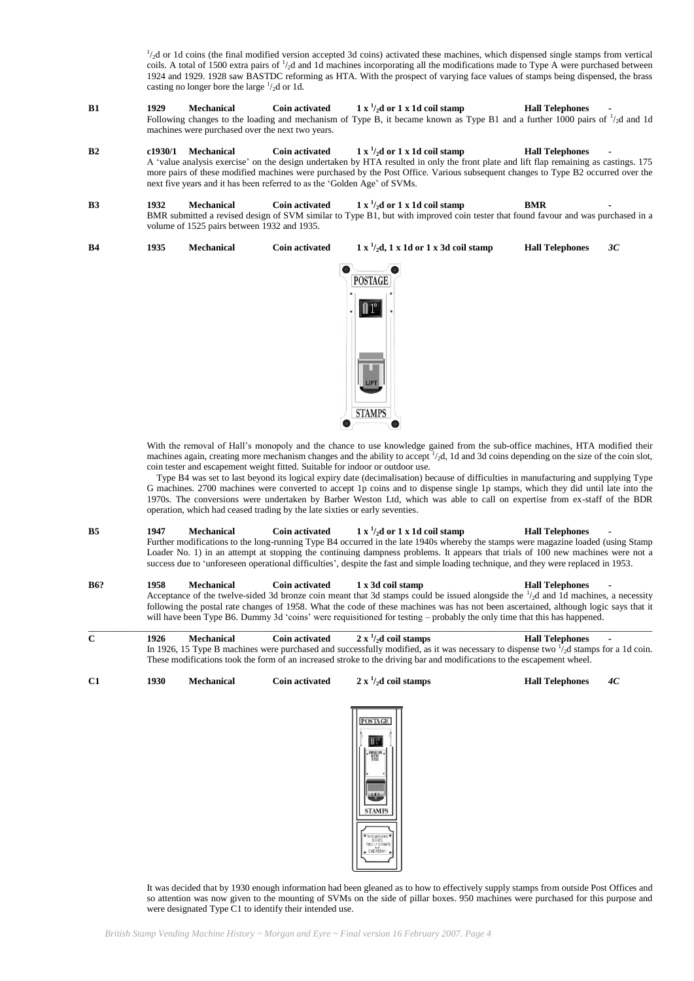<sup>1</sup>/<sub>2</sub>d or 1d coins (the final modified version accepted 3d coins) activated these machines, which dispensed single stamps from vertical coils. A total of 1500 extra pairs of  $\frac{1}{2}$ d and 1d machines incorporating all the modifications made to Type A were purchased between 1924 and 1929. 1928 saw BASTDC reforming as HTA. With the prospect of varying face values of stamps being dispensed, the brass casting no longer bore the large  $\frac{1}{2}d$  or 1d.

- **B1 1929 Mechanical Coin activated /2d or 1 x 1d coil stamp Hall Telephones -** Following changes to the loading and mechanism of Type B, it became known as Type B1 and a further 1000 pairs of  $\frac{1}{2}$ d and 1d machines were purchased over the next two years.
- **B2 c1930/1 Mechanical Coin activated**  $\frac{1}{2}$ **x** $\frac{1}{2}$ **d** or 1 x 1d coil stamp **Hall Telephones** A 'value analysis exercise' on the design undertaken by HTA resulted in only the front plate and lift flap remaining as castings. 175 more pairs of these modified machines were purchased by the Post Office. Various subsequent changes to Type B2 occurred over the next five years and it has been referred to as the 'Golden Age' of SVMs.
- **B3 1932 Mechanical Coin activated**  $1 \times \frac{1}{2}d$  or  $1 \times 1d$  coil stamp **BMR** BMR submitted a revised design of SVM similar to Type B1, but with improved coin tester that found favour and was purchased in a volume of 1525 pairs between 1932 and 1935.
- **B4** 1935 **Mechanical Coin activated**  $1 \times \frac{1}{2}$ d,  $1 \times 1$ d or  $1 \times 3$ d coil stamp<br>**Hall Telephones**  $3C$



With the removal of Hall"s monopoly and the chance to use knowledge gained from the sub-office machines, HTA modified their machines again, creating more mechanism changes and the ability to accept  $\frac{1}{2}$ , 1d and 3d coins depending on the size of the coin slot, coin tester and escapement weight fitted. Suitable for indoor or outdoor use.

Type B4 was set to last beyond its logical expiry date (decimalisation) because of difficulties in manufacturing and supplying Type G machines. 2700 machines were converted to accept 1p coins and to dispense single 1p stamps, which they did until late into the 1970s. The conversions were undertaken by Barber Weston Ltd, which was able to call on expertise from ex-staff of the BDR operation, which had ceased trading by the late sixties or early seventies.

- **B5** 1947 **Mechanical Coin activated /2d or 1 x 1d coil stamp Hall Telephones -** Further modifications to the long-running Type B4 occurred in the late 1940s whereby the stamps were magazine loaded (using Stamp Loader No. 1) in an attempt at stopping the continuing dampness problems. It appears that trials of 100 new machines were not a success due to "unforeseen operational difficulties", despite the fast and simple loading technique, and they were replaced in 1953.
- **B6? 1958 Mechanical Coin activated 1 x 3d coil stamp Hall Telephones -** Acceptance of the twelve-sided 3d bronze coin meant that 3d stamps could be issued alongside the  $\frac{1}{2}$ d and 1d machines, a necessity following the postal rate changes of 1958. What the code of these machines was has not been ascertained, although logic says that it will have been Type B6. Dummy 3d 'coins' were requisitioned for testing – probably the only time that this has happened.
- $\_$  , and the state of the state of the state of the state of the state of the state of the state of the state of the state of the state of the state of the state of the state of the state of the state of the state of the **C 1926 Mechanical Coin activated**  $2 x \frac{1}{2}$  **d** coil stamps **/2d coil stamps Hall Telephones -** In 1926, 15 Type B machines were purchased and successfully modified, as it was necessary to dispense two  $\frac{1}{2}$ d stamps for a 1d coin. These modifications took the form of an increased stroke to the driving bar and modifications to the escapement wheel.

**C1 1930 Mechanical Coin activated 2 x <sup>1</sup>**



**/2d coil stamps Hall Telephones** *4C*

It was decided that by 1930 enough information had been gleaned as to how to effectively supply stamps from outside Post Offices and so attention was now given to the mounting of SVMs on the side of pillar boxes. 950 machines were purchased for this purpose and were designated Type C1 to identify their intended use.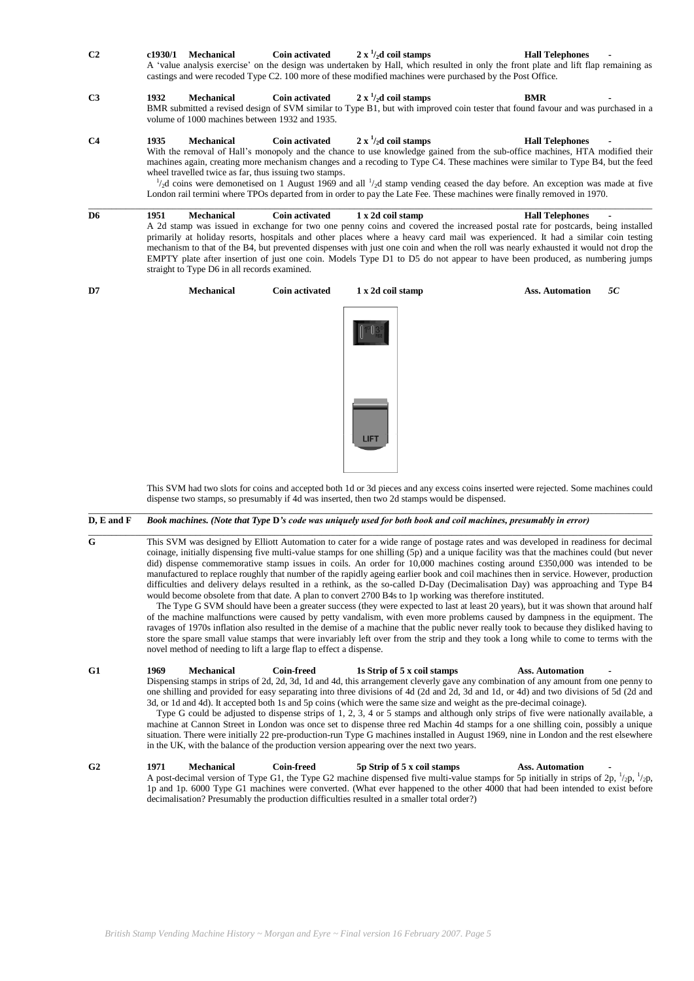| C <sub>2</sub> | c1930/1 | <b>Mechanical</b>                                                    | <b>Coin activated</b> | $2 \times \frac{1}{2}d$ coil stamps<br>A 'value analysis exercise' on the design was undertaken by Hall, which resulted in only the front plate and lift flap remaining as<br>castings and were recoded Type C2. 100 more of these modified machines were purchased by the Post Office.                                                                                                                                                                                                                                                                                                | <b>Hall Telephones</b>       |
|----------------|---------|----------------------------------------------------------------------|-----------------------|----------------------------------------------------------------------------------------------------------------------------------------------------------------------------------------------------------------------------------------------------------------------------------------------------------------------------------------------------------------------------------------------------------------------------------------------------------------------------------------------------------------------------------------------------------------------------------------|------------------------------|
| C <sub>3</sub> | 1932    | <b>Mechanical</b><br>volume of 1000 machines between 1932 and 1935.  | <b>Coin activated</b> | $2 x \frac{1}{2}$ coil stamps<br>BMR submitted a revised design of SVM similar to Type B1, but with improved coin tester that found favour and was purchased in a                                                                                                                                                                                                                                                                                                                                                                                                                      | <b>BMR</b>                   |
| C <sub>4</sub> | 1935    | Mechanical<br>wheel travelled twice as far, thus issuing two stamps. | <b>Coin activated</b> | $2 \times \frac{1}{2}d$ coil stamps<br>With the removal of Hall's monopoly and the chance to use knowledge gained from the sub-office machines, HTA modified their<br>machines again, creating more mechanism changes and a recoding to Type C4. These machines were similar to Type B4, but the feed<br>$\frac{1}{2}$ d coins were demonetised on 1 August 1969 and all $\frac{1}{2}$ d stamp vending ceased the day before. An exception was made at five<br>London rail termini where TPOs departed from in order to pay the Late Fee. These machines were finally removed in 1970. | <b>Hall Telephones</b>       |
| D <sub>6</sub> | 1951    | <b>Mechanical</b><br>straight to Type D6 in all records examined.    | <b>Coin activated</b> | 1 x 2d coil stamp<br>A 2d stamp was issued in exchange for two one penny coins and covered the increased postal rate for postcards, being installed<br>primarily at holiday resorts, hospitals and other places where a heavy card mail was experienced. It had a similar coin testing<br>mechanism to that of the B4, but prevented dispenses with just one coin and when the roll was nearly exhausted it would not drop the<br>EMPTY plate after insertion of just one coin. Models Type D1 to D5 do not appear to have been produced, as numbering jumps                           | <b>Hall Telephones</b>       |
| D7             |         | <b>Mechanical</b>                                                    | <b>Coin activated</b> | 1 x 2d coil stamp                                                                                                                                                                                                                                                                                                                                                                                                                                                                                                                                                                      | <b>Ass. Automation</b><br>5C |
|                |         |                                                                      |                       |                                                                                                                                                                                                                                                                                                                                                                                                                                                                                                                                                                                        |                              |

This SVM had two slots for coins and accepted both 1d or 3d pieces and any excess coins inserted were rejected. Some machines could dispense two stamps, so presumably if 4d was inserted, then two 2d stamps would be dispensed.

#### **D, E and F** *Book machines. (Note that Type* **D***'s code was uniquely used for both book and coil machines, presumably in error)*

 $\_$  ,  $\_$  ,  $\_$  ,  $\_$  ,  $\_$  ,  $\_$  ,  $\_$  ,  $\_$  ,  $\_$  ,  $\_$  ,  $\_$  ,  $\_$  ,  $\_$  ,  $\_$  ,  $\_$  ,  $\_$  ,  $\_$  ,  $\_$  ,  $\_$  ,  $\_$  ,  $\_$  ,  $\_$  ,  $\_$  ,  $\_$  ,  $\_$  ,  $\_$  ,  $\_$  ,  $\_$  ,  $\_$  ,  $\_$  ,  $\_$  ,  $\_$  ,  $\_$  ,  $\_$  ,  $\_$  ,  $\_$  ,  $\_$  , **G** This SVM was designed by Elliott Automation to cater for a wide range of postage rates and was developed in readiness for decimal coinage, initially dispensing five multi-value stamps for one shilling (5p) and a unique facility was that the machines could (but never did) dispense commemorative stamp issues in coils. An order for 10,000 machines costing around £350,000 was intended to be manufactured to replace roughly that number of the rapidly ageing earlier book and coil machines then in service. However, production difficulties and delivery delays resulted in a rethink, as the so-called D-Day (Decimalisation Day) was approaching and Type B4 would become obsolete from that date. A plan to convert 2700 B4s to 1p working was therefore instituted.

 $\_$  ,  $\_$  ,  $\_$  ,  $\_$  ,  $\_$  ,  $\_$  ,  $\_$  ,  $\_$  ,  $\_$  ,  $\_$  ,  $\_$  ,  $\_$  ,  $\_$  ,  $\_$  ,  $\_$  ,  $\_$  ,  $\_$  ,  $\_$  ,  $\_$  ,  $\_$  ,  $\_$  ,  $\_$  ,  $\_$  ,  $\_$  ,  $\_$  ,  $\_$  ,  $\_$  ,  $\_$  ,  $\_$  ,  $\_$  ,  $\_$  ,  $\_$  ,  $\_$  ,  $\_$  ,  $\_$  ,  $\_$  ,  $\_$  ,

The Type G SVM should have been a greater success (they were expected to last at least 20 years), but it was shown that around half of the machine malfunctions were caused by petty vandalism, with even more problems caused by dampness in the equipment. The ravages of 1970s inflation also resulted in the demise of a machine that the public never really took to because they disliked having to store the spare small value stamps that were invariably left over from the strip and they took a long while to come to terms with the novel method of needing to lift a large flap to effect a dispense.

**G1 1969 Mechanical Coin-freed 1s Strip of 5 x coil stamps Ass. Automation -** Dispensing stamps in strips of 2d, 2d, 3d, 1d and 4d, this arrangement cleverly gave any combination of any amount from one penny to one shilling and provided for easy separating into three divisions of 4d (2d and 2d, 3d and 1d, or 4d) and two divisions of 5d (2d and 3d, or 1d and 4d). It accepted both 1s and 5p coins (which were the same size and weight as the pre-decimal coinage). Type G could be adjusted to dispense strips of 1, 2, 3, 4 or 5 stamps and although only strips of five were nationally available, a

machine at Cannon Street in London was once set to dispense three red Machin 4d stamps for a one shilling coin, possibly a unique situation. There were initially 22 pre-production-run Type G machines installed in August 1969, nine in London and the rest elsewhere in the UK, with the balance of the production version appearing over the next two years.

**G2 1971 Mechanical Coin-freed 5p Strip of 5 x coil stamps Ass. Automation -** A post-decimal version of Type G1, the Type G2 machine dispensed five multi-value stamps for 5p initially in strips of 2p,  $\frac{1}{2}$ p,  $\frac{1}{2}$ p, 1p and 1p. 6000 Type G1 machines were converted. (What ever happened to the other 4000 that had been intended to exist before decimalisation? Presumably the production difficulties resulted in a smaller total order?)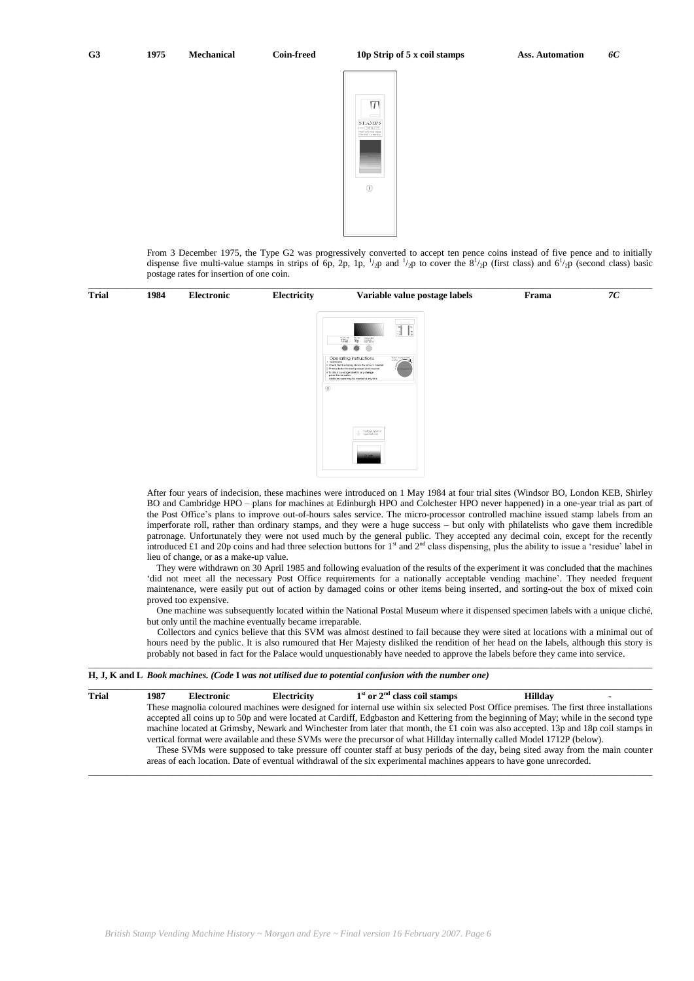

From 3 December 1975, the Type G2 was progressively converted to accept ten pence coins instead of five pence and to initially dispense five multi-value stamps in strips of 6p, 2p, 1p,  $\frac{1}{2}$  and  $\frac{1}{2}$  to cover the  $8\frac{1}{2}$  (first class) and  $6\frac{1}{2}$  (second class) basic postage rates for insertion of one coin.

| Trial | 1984 | Electronic | Electricity | Variable value postage labels                                                                                                                                                                                                                                                    | Frama | 7C |
|-------|------|------------|-------------|----------------------------------------------------------------------------------------------------------------------------------------------------------------------------------------------------------------------------------------------------------------------------------|-------|----|
|       |      |            |             | $\overline{\overline{\overline{\overline{\overline{X}}}}}$<br>12Np<br>Telecom programmer                                                                                                                                                                                         |       |    |
|       |      |            |             |                                                                                                                                                                                                                                                                                  |       |    |
|       |      |            |             | Turn for rejected<br>Operating instructions<br>2 Check that the display shows the amount inserted<br>3 Press a button for each postage label required<br>-<br>4 To obtain a postage label for any ohange<br>press the red button<br>Additional coins may be inserted at any time |       |    |
|       |      |            |             | $\circledcirc$                                                                                                                                                                                                                                                                   |       |    |
|       |      |            |             |                                                                                                                                                                                                                                                                                  |       |    |
|       |      |            |             | Postage label or                                                                                                                                                                                                                                                                 |       |    |
|       |      |            |             | $-\theta$                                                                                                                                                                                                                                                                        |       |    |
|       |      |            |             |                                                                                                                                                                                                                                                                                  |       |    |

\_\_\_\_\_\_\_\_\_\_\_\_\_\_\_\_\_\_\_\_\_\_\_\_\_\_\_\_\_\_\_\_\_\_\_\_\_\_\_\_\_\_\_\_\_\_\_\_\_\_\_\_\_\_\_\_\_\_\_\_\_\_\_\_\_\_\_\_\_\_\_\_\_\_\_\_\_\_\_\_\_\_\_\_\_\_\_\_\_\_\_\_\_\_\_\_\_\_\_\_\_\_\_\_\_\_\_\_\_\_\_\_\_\_\_\_\_\_\_\_\_

After four years of indecision, these machines were introduced on 1 May 1984 at four trial sites (Windsor BO, London KEB, Shirley BO and Cambridge HPO – plans for machines at Edinburgh HPO and Colchester HPO never happened) in a one-year trial as part of the Post Office"s plans to improve out-of-hours sales service. The micro-processor controlled machine issued stamp labels from an imperforate roll, rather than ordinary stamps, and they were a huge success – but only with philatelists who gave them incredible patronage. Unfortunately they were not used much by the general public. They accepted any decimal coin, except for the recently introduced £1 and 20p coins and had three selection buttons for  $1<sup>st</sup>$  and  $2<sup>nd</sup>$  class dispensing, plus the ability to issue a 'residue' label in lieu of change, or as a make-up value.

They were withdrawn on 30 April 1985 and following evaluation of the results of the experiment it was concluded that the machines 'did not meet all the necessary Post Office requirements for a nationally acceptable vending machine'. They needed frequent maintenance, were easily put out of action by damaged coins or other items being inserted, and sorting-out the box of mixed coin proved too expensive.

One machine was subsequently located within the National Postal Museum where it dispensed specimen labels with a unique cliché, but only until the machine eventually became irreparable.

Collectors and cynics believe that this SVM was almost destined to fail because they were sited at locations with a minimal out of hours need by the public. It is also rumoured that Her Majesty disliked the rendition of her head on the labels, although this story is probably not based in fact for the Palace would unquestionably have needed to approve the labels before they came into service. \_\_\_\_\_\_\_\_\_\_\_\_\_\_\_\_\_\_\_\_\_\_\_\_\_\_\_\_\_\_\_\_\_\_\_\_\_\_\_\_\_\_\_\_\_\_\_\_\_\_\_\_\_\_\_\_\_\_\_\_\_\_\_\_\_\_\_\_\_\_\_\_\_\_\_\_\_\_\_\_\_\_\_\_\_\_\_\_\_\_\_\_\_\_\_\_\_\_\_\_\_\_\_\_\_\_\_\_\_\_\_\_\_\_\_\_\_\_\_\_\_

|  |  | H, J, K and L Book machines. (Code I was not utilised due to potential confusion with the number one) |  |  |  |  |  |  |
|--|--|-------------------------------------------------------------------------------------------------------|--|--|--|--|--|--|
|  |  |                                                                                                       |  |  |  |  |  |  |

| <b>Trial</b> | 1987 | Electronic | Electricity | $1st$ or $2nd$ class coil stamps                                                                                                        | Hilldav |  |
|--------------|------|------------|-------------|-----------------------------------------------------------------------------------------------------------------------------------------|---------|--|
|              |      |            |             | These magnolia coloured machines were designed for internal use within six selected Post Office premises. The first three installations |         |  |
|              |      |            |             | accepted all coins up to 50p and were located at Cardiff, Edgbaston and Kettering from the beginning of May; while in the second type   |         |  |
|              |      |            |             | machine located at Grimsby, Newark and Winchester from later that month, the £1 coin was also accepted. 13p and 18p coil stamps in      |         |  |
|              |      |            |             | vertical format were available and these SVMs were the precursor of what Hillday internally called Model 1712P (below).                 |         |  |
|              |      |            |             | These SVMs were supposed to take pressure off counter staff at busy periods of the day, being sited away from the main counter          |         |  |
|              |      |            |             | areas of each location. Date of eventual withdrawal of the six experimental machines appears to have gone unrecorded.                   |         |  |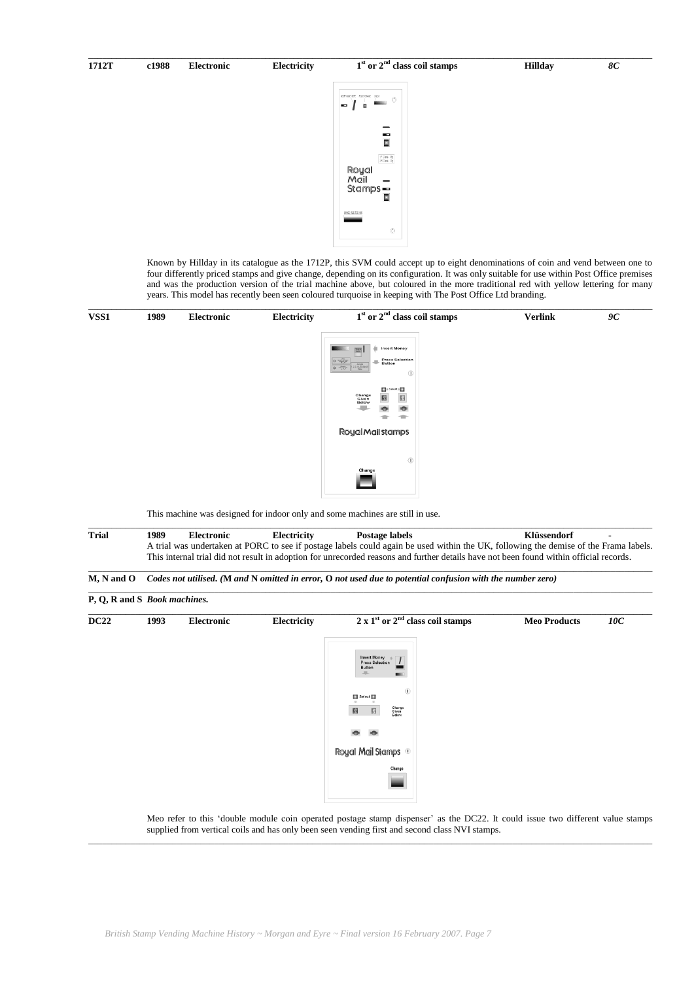# \_\_\_\_\_\_\_\_\_\_\_\_\_\_\_\_\_\_\_\_\_\_\_\_\_\_\_\_\_\_\_\_\_\_\_\_\_\_\_\_\_\_\_\_\_\_\_\_\_\_\_\_\_\_\_\_\_\_\_\_\_\_\_\_\_\_\_\_\_\_\_\_\_\_\_\_\_\_\_\_\_\_\_\_\_\_\_\_\_\_\_\_\_\_\_\_\_\_\_\_\_\_\_\_\_\_\_\_\_\_\_\_\_\_\_\_\_\_\_\_\_ **st or 2nd class coil stamps Hillday** *8C* **1712T c1988 Electronic Electricity 1**  $\frac{1}{\Box}$  $1^{\circ}$  Cass - 13p<br> $1^{\circ}$  Cass - 13p Royal Royal<br>Mail —<br>Stamps —

Known by Hillday in its catalogue as the 1712P, this SVM could accept up to eight denominations of coin and vend between one to four differently priced stamps and give change, depending on its configuration. It was only suitable for use within Post Office premises and was the production version of the trial machine above, but coloured in the more traditional red with yellow lettering for many years. This model has recently been seen coloured turquoise in keeping with The Post Office Ltd branding.

| VSS1 | 1989 | Electronic | Electricity | $1st$ or $2nd$ class coil stamps                                                                                                                                                                  | <b>Verlink</b> | 9C |
|------|------|------------|-------------|---------------------------------------------------------------------------------------------------------------------------------------------------------------------------------------------------|----------------|----|
|      |      |            |             | <b>Insert Money</b><br>$o$ $m$<br>Press Selection<br>$\boxed{\textbf{Q}=\frac{0.0000}{1000} \text{cm} \cdot 2.5 \frac{\text{Acouph}}{\text{CMB}} \cdot 21.30 \text{m} \cdot \text{J}}$<br>$\odot$ |                |    |
|      |      |            |             | $\frac{1}{2}$ is Select is $\frac{1}{2}$<br><b>Change<br/>Given<br/>Below</b><br>$\boxtimes$<br>ø<br>$\bullet$                                                                                    |                |    |
|      |      |            |             | Royal Mail stamps                                                                                                                                                                                 |                |    |
|      |      |            |             | $^{\circ}$                                                                                                                                                                                        |                |    |
|      |      |            |             | Change                                                                                                                                                                                            |                |    |
|      |      |            |             | This machine was designed for indoor only and some machines are still in use.                                                                                                                     |                |    |

\_\_\_\_\_\_\_\_\_\_\_\_\_\_\_\_\_\_\_\_\_\_\_\_\_\_\_\_\_\_\_\_\_\_\_\_\_\_\_\_\_\_\_\_\_\_\_\_\_\_\_\_\_\_\_\_\_\_\_\_\_\_\_\_\_\_\_\_\_\_\_\_\_\_\_\_\_\_\_\_\_\_\_\_\_\_\_\_\_\_\_\_\_\_\_\_\_\_\_\_\_\_\_\_\_\_\_\_\_\_\_\_\_\_\_\_\_\_\_\_\_

**Trial 1989 Electronic Electricity Postage labels Klüssendorf -** A trial was undertaken at PORC to see if postage labels could again be used within the UK, following the demise of the Frama labels. This internal trial did not result in adoption for unrecorded reasons and further details have not been found within official records.  $\_$  ,  $\_$  ,  $\_$  ,  $\_$  ,  $\_$  ,  $\_$  ,  $\_$  ,  $\_$  ,  $\_$  ,  $\_$  ,  $\_$  ,  $\_$  ,  $\_$  ,  $\_$  ,  $\_$  ,  $\_$  ,  $\_$  ,  $\_$  ,  $\_$  ,  $\_$  ,  $\_$  ,  $\_$  ,  $\_$  ,  $\_$  ,  $\_$  ,  $\_$  ,  $\_$  ,  $\_$  ,  $\_$  ,  $\_$  ,  $\_$  ,  $\_$  ,  $\_$  ,  $\_$  ,  $\_$  ,  $\_$  ,  $\_$  ,

 $\_$  , and the set of the set of the set of the set of the set of the set of the set of the set of the set of the set of the set of the set of the set of the set of the set of the set of the set of the set of the set of th

```
M, N and O Codes not utilised. (M and N omitted in error, O not used due to potential confusion with the number zero)
```

| P, Q, R and S Book machines. |      |            |             |                                                                                           |                     |     |
|------------------------------|------|------------|-------------|-------------------------------------------------------------------------------------------|---------------------|-----|
| <b>DC22</b>                  | 1993 | Electronic | Electricity | $2 \times 1st$ or $2nd$ class coil stamps                                                 | <b>Meo Products</b> | 10C |
|                              |      |            |             | Insert Money<br>Press Selection<br>$\prime$<br>Button<br>All-<br><b>Ballie</b>            |                     |     |
|                              |      |            |             | $\circledR$<br>$\blacksquare$ Select $\blacksquare$<br>Change<br>Given<br>Below<br>圖<br>圆 |                     |     |
|                              |      |            |             | <b>IO</b>                                                                                 |                     |     |
|                              |      |            |             | Royal Mail Stamps <sup>10</sup>                                                           |                     |     |
|                              |      |            |             | Change                                                                                    |                     |     |

Meo refer to this "double module coin operated postage stamp dispenser" as the DC22. It could issue two different value stamps supplied from vertical coils and has only been seen vending first and second class NVI stamps.  $\_$  , and the set of the set of the set of the set of the set of the set of the set of the set of the set of the set of the set of the set of the set of the set of the set of the set of the set of the set of the set of th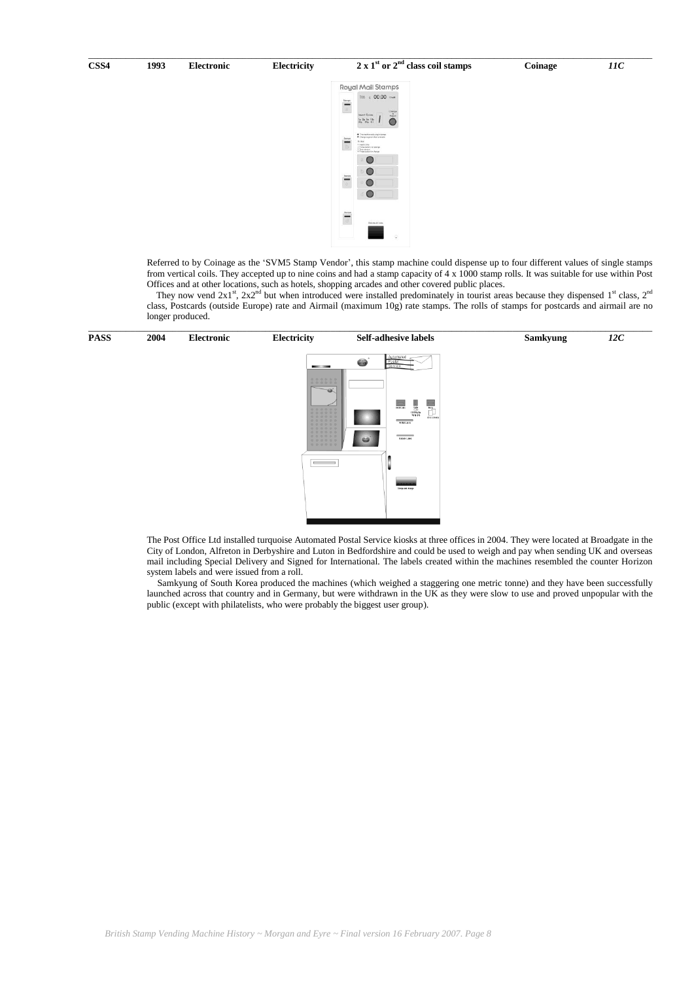| CSS <sub>4</sub> | 1993 | tlectronic | <b>Electricity</b> | $\gamma$ nd<br>$2 \times 1st$ or 2<br>' class coil stamps | <b>Coinage</b> | 110 |
|------------------|------|------------|--------------------|-----------------------------------------------------------|----------------|-----|



Referred to by Coinage as the "SVM5 Stamp Vendor", this stamp machine could dispense up to four different values of single stamps from vertical coils. They accepted up to nine coins and had a stamp capacity of 4 x 1000 stamp rolls. It was suitable for use within Post Offices and at other locations, such as hotels, shopping arcades and other covered public places.

They now vend  $2x1^{st}$ ,  $2x2^{nd}$  but when introduced were installed predominately in tourist areas because they dispensed  $1^{st}$  class,  $2^{nd}$ class, Postcards (outside Europe) rate and Airmail (maximum 10g) rate stamps. The rolls of stamps for postcards and airmail are no longer produced.



The Post Office Ltd installed turquoise Automated Postal Service kiosks at three offices in 2004. They were located at Broadgate in the City of London, Alfreton in Derbyshire and Luton in Bedfordshire and could be used to weigh and pay when sending UK and overseas mail including Special Delivery and Signed for International. The labels created within the machines resembled the counter Horizon system labels and were issued from a roll.

Samkyung of South Korea produced the machines (which weighed a staggering one metric tonne) and they have been successfully launched across that country and in Germany, but were withdrawn in the UK as they were slow to use and proved unpopular with the public (except with philatelists, who were probably the biggest user group).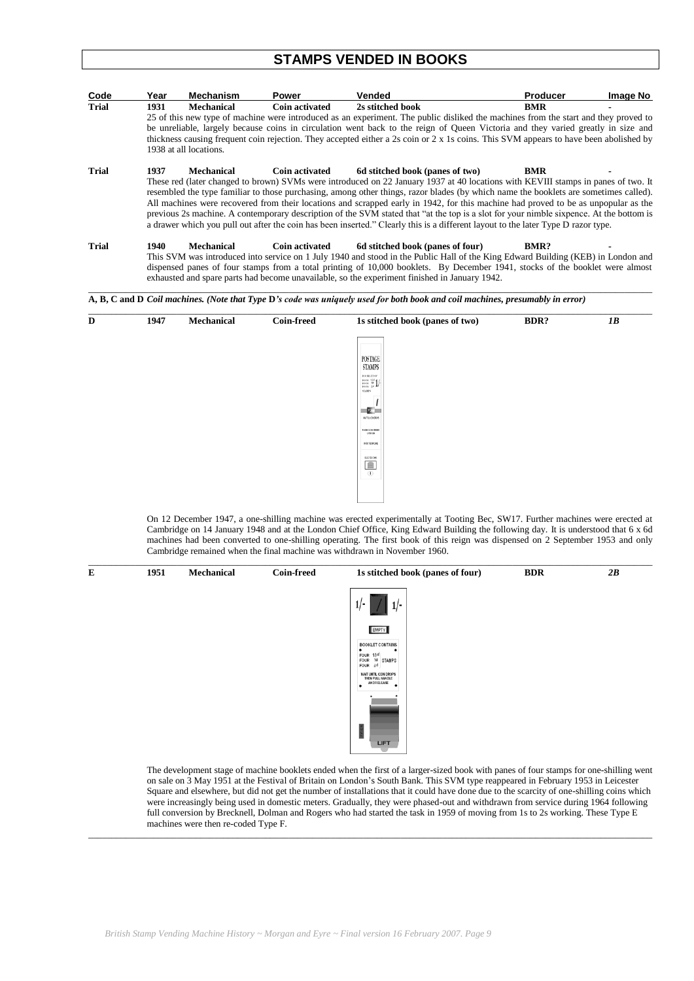# **STAMPS VENDED IN BOOKS**

| Code         | Year | <b>Mechanism</b>       | <b>Power</b>          | <b>Vended</b>                                                                                                                                                                                                                                                                                                                                                                                                                                                                                                                                                                                                                                                                                                                                     | <b>Producer</b> | Image No |
|--------------|------|------------------------|-----------------------|---------------------------------------------------------------------------------------------------------------------------------------------------------------------------------------------------------------------------------------------------------------------------------------------------------------------------------------------------------------------------------------------------------------------------------------------------------------------------------------------------------------------------------------------------------------------------------------------------------------------------------------------------------------------------------------------------------------------------------------------------|-----------------|----------|
| <b>Trial</b> | 1931 | <b>Mechanical</b>      | Coin activated        | 2s stitched book                                                                                                                                                                                                                                                                                                                                                                                                                                                                                                                                                                                                                                                                                                                                  | <b>BMR</b>      |          |
|              |      | 1938 at all locations. |                       | 25 of this new type of machine were introduced as an experiment. The public disliked the machines from the start and they proved to<br>be unreliable, largely because coins in circulation went back to the reign of Queen Victoria and they varied greatly in size and<br>thickness causing frequent coin rejection. They accepted either a 2s coin or 2 x 1s coins. This SVM appears to have been abolished by                                                                                                                                                                                                                                                                                                                                  |                 |          |
| <b>Trial</b> | 1937 | <b>Mechanical</b>      |                       | Coin activated 6d stitched book (panes of two)<br>These red (later changed to brown) SVMs were introduced on 22 January 1937 at 40 locations with KEVIII stamps in panes of two. It<br>resembled the type familiar to those purchasing, among other things, razor blades (by which name the booklets are sometimes called).<br>All machines were recovered from their locations and scrapped early in 1942, for this machine had proved to be as unpopular as the<br>previous 2s machine. A contemporary description of the SVM stated that "at the top is a slot for your nimble sixpence. At the bottom is<br>a drawer which you pull out after the coin has been inserted." Clearly this is a different layout to the later Type D razor type. | BMR             |          |
| <b>Trial</b> | 1940 | <b>Mechanical</b>      | <b>Coin activated</b> | 6d stitched book (panes of four)<br>This SVM was introduced into service on 1 July 1940 and stood in the Public Hall of the King Edward Building (KEB) in London and<br>dispensed panes of four stamps from a total printing of 10,000 booklets. By December 1941, stocks of the booklet were almost<br>exhausted and spare parts had become unavailable, so the experiment finished in January 1942.                                                                                                                                                                                                                                                                                                                                             | <b>BMR?</b>     |          |



On 12 December 1947, a one-shilling machine was erected experimentally at Tooting Bec, SW17. Further machines were erected at Cambridge on 14 January 1948 and at the London Chief Office, King Edward Building the following day. It is understood that 6 x 6d machines had been converted to one-shilling operating. The first book of this reign was dispensed on 2 September 1953 and only Cambridge remained when the final machine was withdrawn in November 1960.



The development stage of machine booklets ended when the first of a larger-sized book with panes of four stamps for one-shilling went on sale on 3 May 1951 at the Festival of Britain on London"s South Bank. This SVM type reappeared in February 1953 in Leicester Square and elsewhere, but did not get the number of installations that it could have done due to the scarcity of one-shilling coins which were increasingly being used in domestic meters. Gradually, they were phased-out and withdrawn from service during 1964 following full conversion by Brecknell, Dolman and Rogers who had started the task in 1959 of moving from 1s to 2s working. These Type E machines were then re-coded Type F.

\_\_\_\_\_\_\_\_\_\_\_\_\_\_\_\_\_\_\_\_\_\_\_\_\_\_\_\_\_\_\_\_\_\_\_\_\_\_\_\_\_\_\_\_\_\_\_\_\_\_\_\_\_\_\_\_\_\_\_\_\_\_\_\_\_\_\_\_\_\_\_\_\_\_\_\_\_\_\_\_\_\_\_\_\_\_\_\_\_\_\_\_\_\_\_\_\_\_\_\_\_\_\_\_\_\_\_\_\_\_\_\_\_\_\_\_\_\_\_\_\_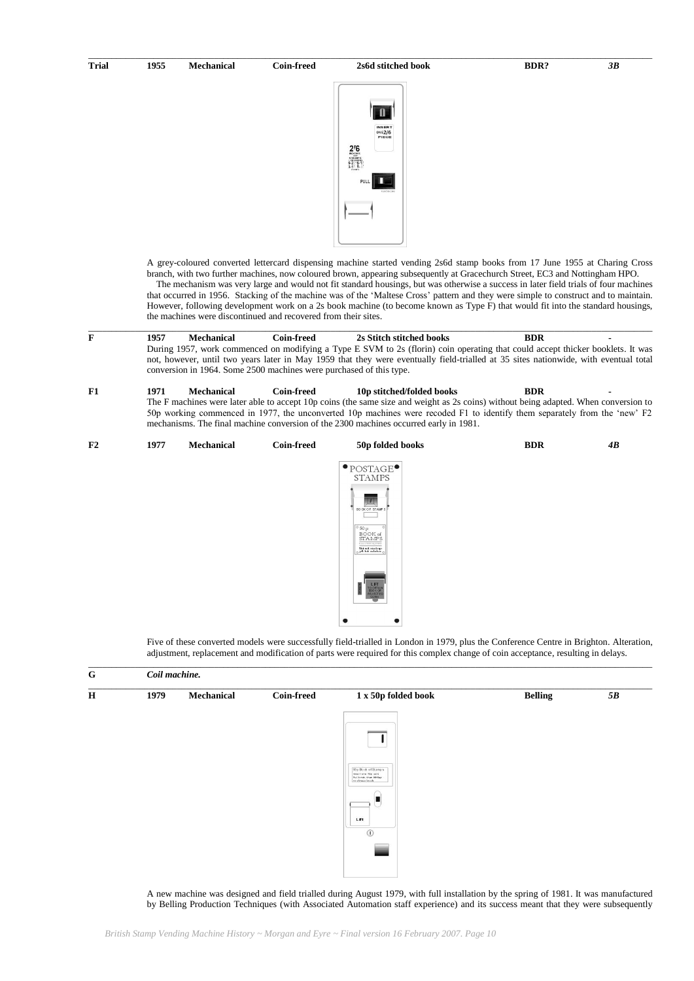**Trial 1955 Mechanical Coin-freed 2s6d stitched book BDR?** *3B*

\_\_\_\_\_\_\_\_\_\_\_\_\_\_\_\_\_\_\_\_\_\_\_\_\_\_\_\_\_\_\_\_\_\_\_\_\_\_\_\_\_\_\_\_\_\_\_\_\_\_\_\_\_\_\_\_\_\_\_\_\_\_\_\_\_\_\_\_\_\_\_\_\_\_\_\_\_\_\_\_\_\_\_\_\_\_\_\_\_\_\_\_\_\_\_\_\_\_\_\_\_\_\_\_\_\_\_\_\_\_\_\_\_\_\_\_\_\_\_\_\_



A grey-coloured converted lettercard dispensing machine started vending 2s6d stamp books from 17 June 1955 at Charing Cross branch, with two further machines, now coloured brown, appearing subsequently at Gracechurch Street, EC3 and Nottingham HPO. The mechanism was very large and would not fit standard housings, but was otherwise a success in later field trials of four machines that occurred in 1956. Stacking of the machine was of the "Maltese Cross" pattern and they were simple to construct and to maintain. However, following development work on a 2s book machine (to become known as Type F) that would fit into the standard housings, the machines were discontinued and recovered from their sites.

| F  | 1957 | Mechanical        | Coin-freed                                                          | 2s Stitch stitched books                                                                                                                                                                                                                                               | <b>BDR</b> |  |
|----|------|-------------------|---------------------------------------------------------------------|------------------------------------------------------------------------------------------------------------------------------------------------------------------------------------------------------------------------------------------------------------------------|------------|--|
|    |      |                   | conversion in 1964. Some 2500 machines were purchased of this type. | During 1957, work commenced on modifying a Type E SVM to 2s (florin) coin operating that could accept thicker booklets. It was<br>not, however, until two years later in May 1959 that they were eventually field-trialled at 35 sites nationwide, with eventual total |            |  |
| F1 | 1971 | <b>Mechanical</b> | <b>Coin-freed</b>                                                   | 10p stitched/folded books                                                                                                                                                                                                                                              | <b>BDR</b> |  |

The F machines were later able to accept 10p coins (the same size and weight as 2s coins) without being adapted. When conversion to 50p working commenced in 1977, the unconverted 10p machines were recoded F1 to identify them separately from the "new" F2 mechanisms. The final machine conversion of the 2300 machines occurred early in 1981.

### **F2 1977 Mechanical Coin-freed 50p folded books BDR** *4B*



Five of these converted models were successfully field-trialled in London in 1979, plus the Conference Centre in Brighton. Alteration, adjustment, replacement and modification of parts were required for this complex change of coin acceptance, resulting in delays.

| G           | Coil machine. |            |                   |                                                                                                                                                                                                                      |                |    |  |
|-------------|---------------|------------|-------------------|----------------------------------------------------------------------------------------------------------------------------------------------------------------------------------------------------------------------|----------------|----|--|
| $\mathbf H$ | 1979          | Mechanical | <b>Coin-freed</b> | $1\ \text{x}$ 50p folded book                                                                                                                                                                                        | <b>Belling</b> | 5B |  |
|             |               |            |                   | $\begin{tabular}{ c c } \hline \textbf{50 p B0 ok of Stamp 8} \\ \hline \textbf{instantness } \textbf{50 p o} \\ \textbf{Put lines the time if} \\ \textbf{f to obtain to ok} \end{tabular}$<br>п<br>Lift<br>$\odot$ |                |    |  |
|             |               |            |                   |                                                                                                                                                                                                                      |                |    |  |

 $\_$  , and the state of the state of the state of the state of the state of the state of the state of the state of the state of the state of the state of the state of the state of the state of the state of the state of the

A new machine was designed and field trialled during August 1979, with full installation by the spring of 1981. It was manufactured by Belling Production Techniques (with Associated Automation staff experience) and its success meant that they were subsequently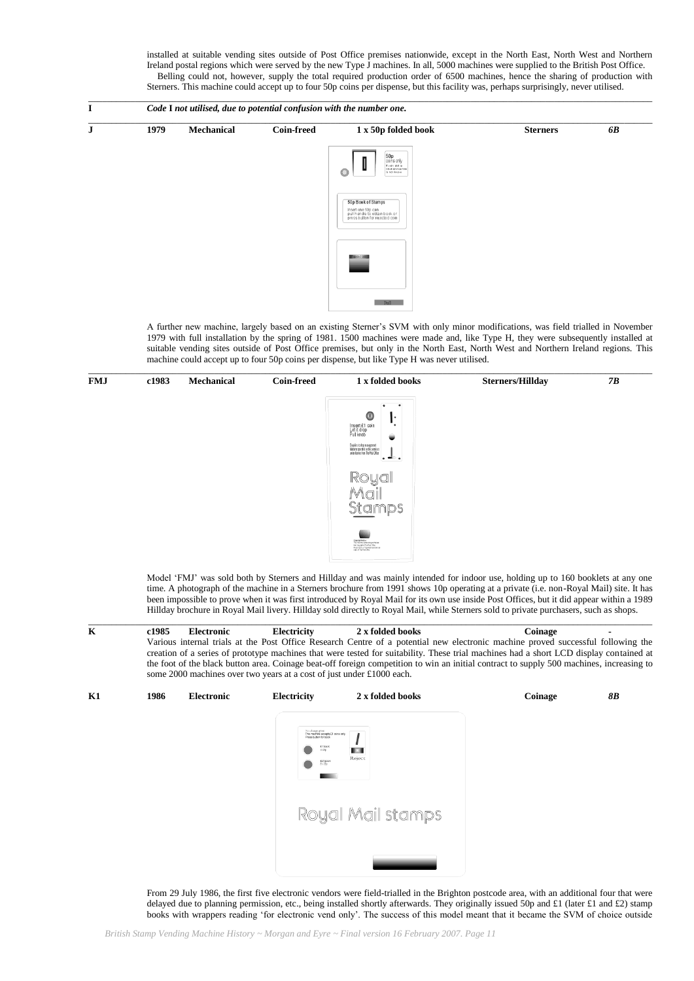installed at suitable vending sites outside of Post Office premises nationwide, except in the North East, North West and Northern Ireland postal regions which were served by the new Type J machines. In all, 5000 machines were supplied to the British Post Office. Belling could not, however, supply the total required production order of 6500 machines, hence the sharing of production with Sterners. This machine could accept up to four 50p coins per dispense, but this facility was, perhaps surprisingly, never utilised.



A further new machine, largely based on an existing Sterner"s SVM with only minor modifications, was field trialled in November 1979 with full installation by the spring of 1981. 1500 machines were made and, like Type H, they were subsequently installed at suitable vending sites outside of Post Office premises, but only in the North East, North West and Northern Ireland regions. This machine could accept up to four 50p coins per dispense, but like Type H was never utilised.



Model "FMJ" was sold both by Sterners and Hillday and was mainly intended for indoor use, holding up to 160 booklets at any one time. A photograph of the machine in a Sterners brochure from 1991 shows 10p operating at a private (i.e. non-Royal Mail) site. It has been impossible to prove when it was first introduced by Royal Mail for its own use inside Post Offices, but it did appear within a 1989 Hillday brochure in Royal Mail livery. Hillday sold directly to Royal Mail, while Sterners sold to private purchasers, such as shops.

 $\_$  , and the state of the state of the state of the state of the state of the state of the state of the state of the state of the state of the state of the state of the state of the state of the state of the state of the **K c1985 Electronic Electricity 2 x folded books Coinage -** Various internal trials at the Post Office Research Centre of a potential new electronic machine proved successful following the creation of a series of prototype machines that were tested for suitability. These trial machines had a short LCD display contained at the foot of the black button area. Coinage beat-off foreign competition to win an initial contract to supply 500 machines, increasing to some 2000 machines over two years at a cost of just under £1000 each.



From 29 July 1986, the first five electronic vendors were field-trialled in the Brighton postcode area, with an additional four that were delayed due to planning permission, etc., being installed shortly afterwards. They originally issued 50p and £1 (later £1 and £2) stamp books with wrappers reading "for electronic vend only". The success of this model meant that it became the SVM of choice outside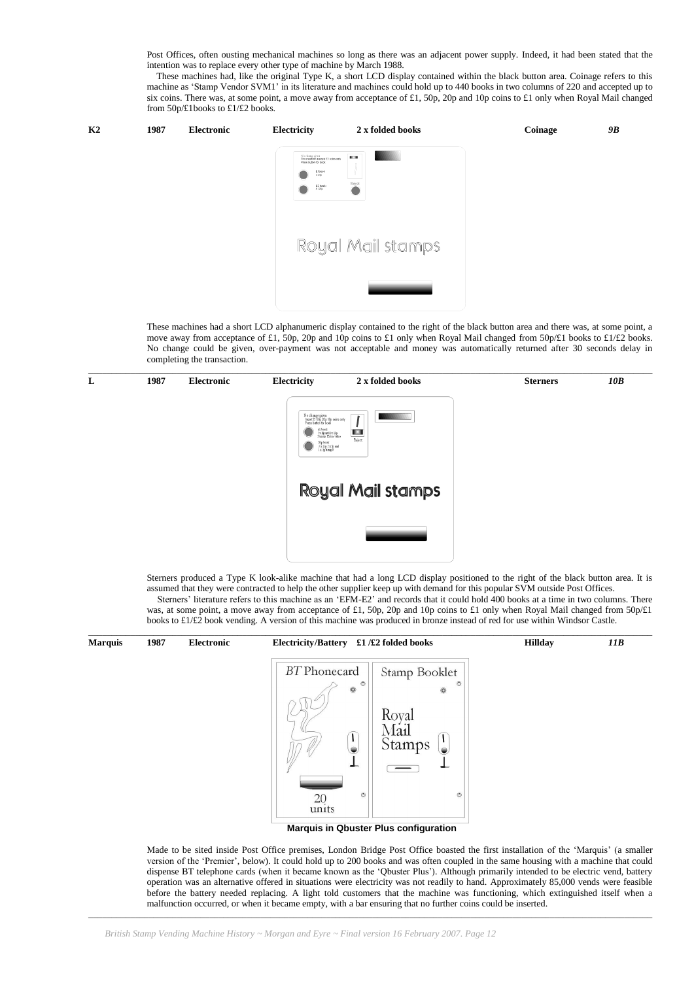Post Offices, often ousting mechanical machines so long as there was an adjacent power supply. Indeed, it had been stated that the intention was to replace every other type of machine by March 1988.

These machines had, like the original Type K, a short LCD display contained within the black button area. Coinage refers to this machine as "Stamp Vendor SVM1" in its literature and machines could hold up to 440 books in two columns of 220 and accepted up to six coins. There was, at some point, a move away from acceptance of £1, 50p, 20p and 10p coins to £1 only when Royal Mail changed from 50p/£1books to £1/£2 books.



These machines had a short LCD alphanumeric display contained to the right of the black button area and there was, at some point, a move away from acceptance of £1, 50p, 20p and 10p coins to £1 only when Royal Mail changed from 50p/£1 books to £1/£2 books. No change could be given, over-payment was not acceptable and money was automatically returned after 30 seconds delay in completing the transaction.



Sterners produced a Type K look-alike machine that had a long LCD display positioned to the right of the black button area. It is assumed that they were contracted to help the other supplier keep up with demand for this popular SVM outside Post Offices. Sterners' literature refers to this machine as an 'EFM-E2' and records that it could hold 400 books at a time in two columns. There some point, a move away from acceptance of  $f_1$ , 50p, 20p and 10p coins to  $f_1$  only when Royal Mail changed from 50p/ $f_1$ .

| was, at some point, a move away from acceptance of £1, bop, 20p and Top coms to £1 omy when Koyal Man changed from bop/£1   |
|-----------------------------------------------------------------------------------------------------------------------------|
| books to £1/£2 book vending. A version of this machine was produced in bronze instead of red for use within Windsor Castle. |
|                                                                                                                             |
|                                                                                                                             |

| <b>Marquis</b> | 1987 | Electronic | £1/£2 folded books<br><b>Electricity/Battery</b>                                                                                                                                                                                                             | <b>Hillday</b> | 11B |
|----------------|------|------------|--------------------------------------------------------------------------------------------------------------------------------------------------------------------------------------------------------------------------------------------------------------|----------------|-----|
|                |      |            | <b>BT</b> Phonecard<br>Stamp Booklet<br>$\circ$<br>$\circ$<br>$\circledcirc$<br>$\circledcirc$<br>Royal<br>Mail<br>I<br>Stamps<br>$\bullet$<br>$\bullet$<br>ᆂ<br>-<br>—<br>$\circ$<br>$\circ$<br>20<br>units<br><b>Marquis in Qbuster Plus configuration</b> |                |     |
|                |      |            |                                                                                                                                                                                                                                                              |                |     |

 $\_$  , and the set of the set of the set of the set of the set of the set of the set of the set of the set of the set of the set of the set of the set of the set of the set of the set of the set of the set of the set of th

Made to be sited inside Post Office premises, London Bridge Post Office boasted the first installation of the "Marquis" (a smaller version of the "Premier", below). It could hold up to 200 books and was often coupled in the same housing with a machine that could dispense BT telephone cards (when it became known as the "Qbuster Plus"). Although primarily intended to be electric vend, battery operation was an alternative offered in situations were electricity was not readily to hand. Approximately 85,000 vends were feasible before the battery needed replacing. A light told customers that the machine was functioning, which extinguished itself when a malfunction occurred, or when it became empty, with a bar ensuring that no further coins could be inserted.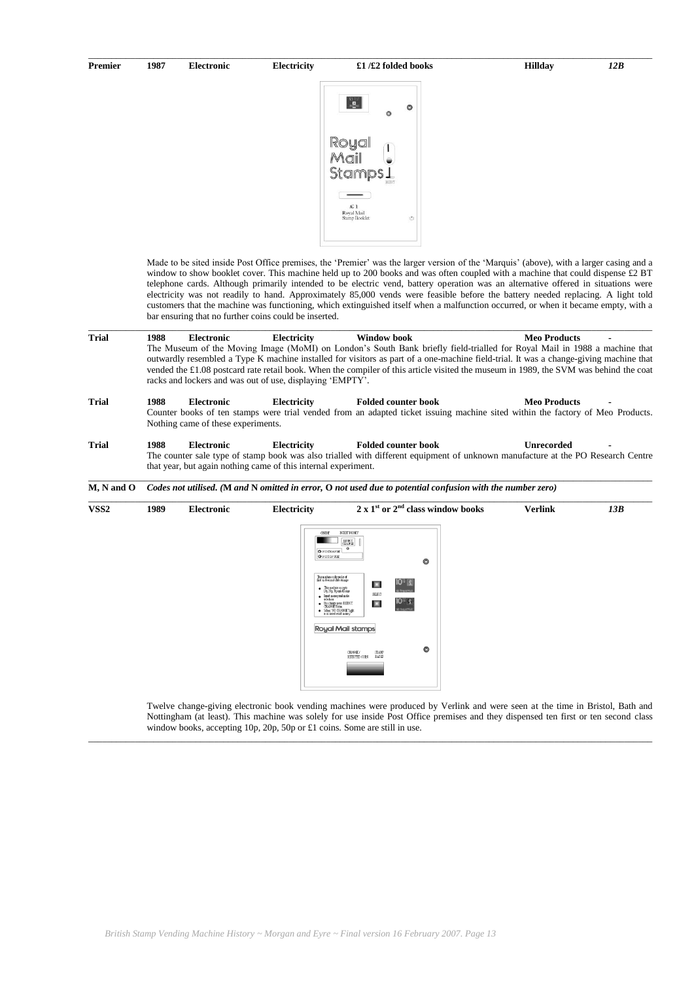#### **Premier 1987 Electronic Electricity £1 /£2 folded books Hillday** *12B*

 $\_$  , and the set of the set of the set of the set of the set of the set of the set of the set of the set of the set of the set of the set of the set of the set of the set of the set of the set of the set of the set of th



Made to be sited inside Post Office premises, the "Premier" was the larger version of the "Marquis" (above), with a larger casing and a window to show booklet cover. This machine held up to 200 books and was often coupled with a machine that could dispense £2 BT telephone cards. Although primarily intended to be electric vend, battery operation was an alternative offered in situations were electricity was not readily to hand. Approximately 85,000 vends were feasible before the battery needed replacing. A light told customers that the machine was functioning, which extinguished itself when a malfunction occurred, or when it became empty, with a bar ensuring that no further coins could be inserted.

**Trial 1988 Electronic Electricity Window book Meo Products -** The Museum of the Moving Image (MoMI) on London"s South Bank briefly field-trialled for Royal Mail in 1988 a machine that outwardly resembled a Type K machine installed for visitors as part of a one-machine field-trial. It was a change-giving machine that vended the £1.08 postcard rate retail book. When the compiler of this article visited the museum in 1989, the SVM was behind the coat racks and lockers and was out of use, displaying 'EMPTY'.

 $\_$  , and the state of the state of the state of the state of the state of the state of the state of the state of the state of the state of the state of the state of the state of the state of the state of the state of the

- **Trial 1988 Electronic Electricity Folded counter book Meo Products -** Counter books of ten stamps were trial vended from an adapted ticket issuing machine sited within the factory of Meo Products. Nothing came of these experiments.
- **Trial 1988 Electronic Electricity Folded counter book Unrecorded -** The counter sale type of stamp book was also trialled with different equipment of unknown manufacture at the PO Research Centre that year, but again nothing came of this internal experiment. \_\_\_\_\_\_\_\_\_\_\_\_\_\_\_\_\_\_\_\_\_\_\_\_\_\_\_\_\_\_\_\_\_\_\_\_\_\_\_\_\_\_\_\_\_\_\_\_\_\_\_\_\_\_\_\_\_\_\_\_\_\_\_\_\_\_\_\_\_\_\_\_\_\_\_\_\_\_\_\_\_\_\_\_\_\_\_\_\_\_\_\_\_\_\_\_\_\_\_\_\_\_\_\_\_\_\_\_\_\_\_\_\_\_\_\_\_\_\_\_\_

**M, N and O** *Codes not utilised. (***M** *and* **N** *omitted in error,* **O** *not used due to potential confusion with the number zero)*



 $\_$  , and the set of the set of the set of the set of the set of the set of the set of the set of the set of the set of the set of the set of the set of the set of the set of the set of the set of the set of the set of th

Twelve change-giving electronic book vending machines were produced by Verlink and were seen at the time in Bristol, Bath and Nottingham (at least). This machine was solely for use inside Post Office premises and they dispensed ten first or ten second class window books, accepting 10p, 20p, 50p or £1 coins. Some are still in use.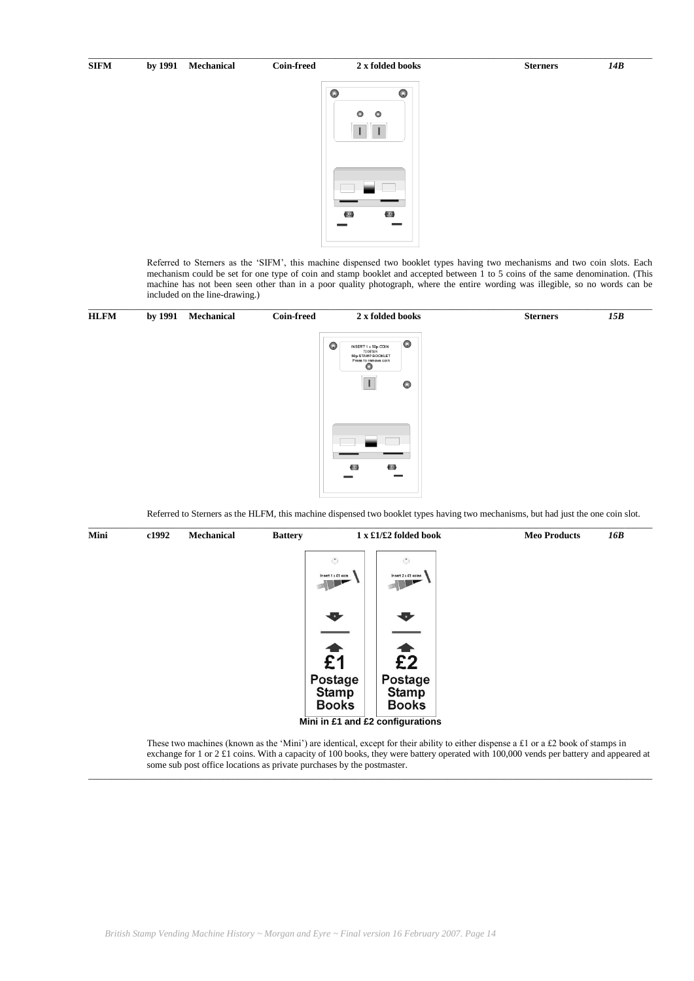# $\_$  , and the set of the set of the set of the set of the set of the set of the set of the set of the set of the set of the set of the set of the set of the set of the set of the set of the set of the set of the set of th **SIFM by 1991 Mechanical Coin-freed 2 x folded books Sterners** *14B*  $\Omega$  $\Omega$  $\theta$  $\bullet$

Referred to Sterners as the "SIFM", this machine dispensed two booklet types having two mechanisms and two coin slots. Each mechanism could be set for one type of coin and stamp booklet and accepted between 1 to 5 coins of the same denomination. (This machine has not been seen other than in a poor quality photograph, where the entire wording was illegible, so no words can be included on the line-drawing.)



Referred to Sterners as the HLFM, this machine dispensed two booklet types having two mechanisms, but had just the one coin slot.



These two machines (known as the 'Mini') are identical, except for their ability to either dispense a £1 or a £2 book of stamps in exchange for 1 or 2 £1 coins. With a capacity of 100 books, they were battery operated with 100,000 vends per battery and appeared at some sub post office locations as private purchases by the postmaster.  $\_$  , and the set of the set of the set of the set of the set of the set of the set of the set of the set of the set of the set of the set of the set of the set of the set of the set of the set of the set of the set of th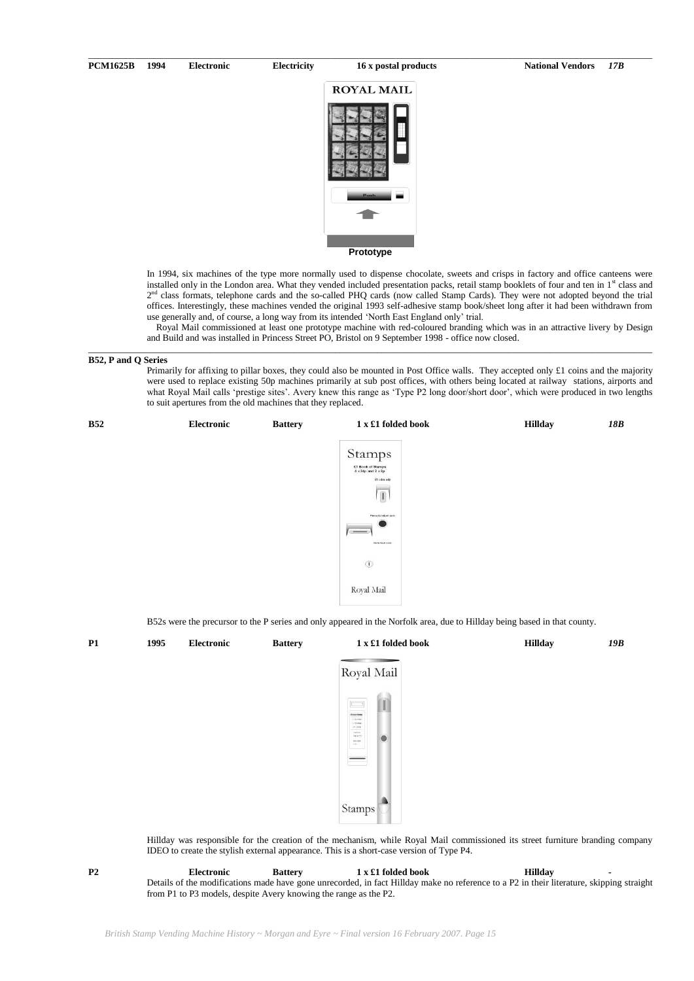#### **PCM1625B 1994 Electronic Electricity 16 x postal products National Vendors** *17B*



\_\_\_\_\_\_\_\_\_\_\_\_\_\_\_\_\_\_\_\_\_\_\_\_\_\_\_\_\_\_\_\_\_\_\_\_\_\_\_\_\_\_\_\_\_\_\_\_\_\_\_\_\_\_\_\_\_\_\_\_\_\_\_\_\_\_\_\_\_\_\_\_\_\_\_\_\_\_\_\_\_\_\_\_\_\_\_\_\_\_\_\_\_\_\_\_\_\_\_\_\_\_\_\_\_\_\_\_\_\_\_\_\_\_\_\_\_\_\_\_\_

In 1994, six machines of the type more normally used to dispense chocolate, sweets and crisps in factory and office canteens were installed only in the London area. What they vended included presentation packs, retail stamp booklets of four and ten in 1<sup>st</sup> class and 2<sup>nd</sup> class formats, telephone cards and the so-called PHQ cards (now called Stamp Cards). They were not adopted beyond the trial offices. Interestingly, these machines vended the original 1993 self-adhesive stamp book/sheet long after it had been withdrawn from use generally and, of course, a long way from its intended 'North East England only' trial.

 Royal Mail commissioned at least one prototype machine with red-coloured branding which was in an attractive livery by Design and Build and was installed in Princess Street PO, Bristol on 9 September 1998 - office now closed.

 $\_$  , and the set of the set of the set of the set of the set of the set of the set of the set of the set of the set of the set of the set of the set of the set of the set of the set of the set of the set of the set of th

#### **B52, P and Q Series**

Primarily for affixing to pillar boxes, they could also be mounted in Post Office walls. They accepted only £1 coins and the majority were used to replace existing 50p machines primarily at sub post offices, with others being located at railway stations, airports and what Royal Mail calls 'prestige sites'. Avery knew this range as 'Type P2 long door/short door', which were produced in two lengths to suit apertures from the old machines that they replaced.



B52s were the precursor to the P series and only appeared in the Norfolk area, due to Hillday being based in that county.

| P1 | 1995 | Electronic | <b>Battery</b> | 1 x £1 folded book                                                                                                                                                                                                                         | <b>Hillday</b> | 19B |
|----|------|------------|----------------|--------------------------------------------------------------------------------------------------------------------------------------------------------------------------------------------------------------------------------------------|----------------|-----|
|    |      |            |                | Royal Mail                                                                                                                                                                                                                                 |                |     |
|    |      |            |                | $\blacksquare$<br>$\Box$<br>$\label{eq:1} 0 \log \dim \mathfrak{g}$<br>$\begin{array}{l} 0.26\,009 \\ 0.26\,009 \\ 0.04\,009 \end{array}$<br>tractain<br>$\bullet$<br>Auto 711<br>$\frac{F \psi(t) \Delta \Phi(t)}{T \psi(t)}$<br>$\equiv$ |                |     |

Stamp

Hillday was responsible for the creation of the mechanism, while Royal Mail commissioned its street furniture branding company IDEO to create the stylish external appearance. This is a short-case version of Type P4.

**P2 Electronic Battery 1 x £1 folded book Hillday -** Details of the modifications made have gone unrecorded, in fact Hillday make no reference to a P2 in their literature, skipping straight from P1 to P3 models, despite Avery knowing the range as the P2.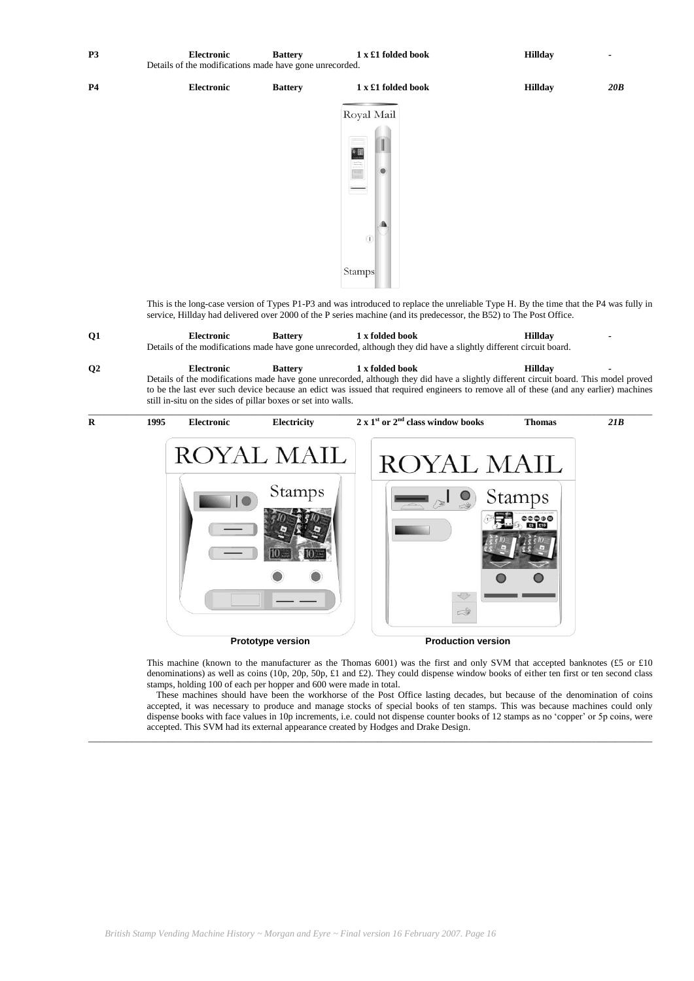| P <sub>3</sub> | <b>Electronic</b><br>Details of the modifications made have gone unrecorded. | <b>Battery</b> | 1 x £1 folded book | <b>Hillday</b> |     |
|----------------|------------------------------------------------------------------------------|----------------|--------------------|----------------|-----|
| <b>P4</b>      | <b>Electronic</b>                                                            | <b>Battery</b> | 1 x £1 folded book | <b>Hillday</b> | 20B |
|                |                                                                              |                | $1.3.5$ $1.3.7$    |                |     |



This is the long-case version of Types P1-P3 and was introduced to replace the unreliable Type H. By the time that the P4 was fully in service, Hillday had delivered over 2000 of the P series machine (and its predecessor, the B52) to The Post Office.

| 01             | Electronic        | <b>Battery</b> | 1 x folded book                                                                                                    | Hilldav        |  |
|----------------|-------------------|----------------|--------------------------------------------------------------------------------------------------------------------|----------------|--|
|                |                   |                | Details of the modifications made have gone unrecorded, although they did have a slightly different circuit board. |                |  |
| Q <sub>2</sub> | <b>Electronic</b> | <b>Battery</b> | 1 x folded book                                                                                                    | <b>Hilldav</b> |  |

Details of the modifications made have gone unrecorded, although they did have a slightly different circuit board. This model proved to be the last ever such device because an edict was issued that required engineers to remove all of these (and any earlier) machines still in-situ on the sides of pillar boxes or set into walls.



This machine (known to the manufacturer as the Thomas 6001) was the first and only SVM that accepted banknotes (£5 or £10 denominations) as well as coins (10p, 20p, 50p, £1 and £2). They could dispense window books of either ten first or ten second class stamps, holding 100 of each per hopper and 600 were made in total.

 These machines should have been the workhorse of the Post Office lasting decades, but because of the denomination of coins accepted, it was necessary to produce and manage stocks of special books of ten stamps. This was because machines could only dispense books with face values in 10p increments, i.e. could not dispense counter books of 12 stamps as no "copper" or 5p coins, were accepted. This SVM had its external appearance created by Hodges and Drake Design.

\_\_\_\_\_\_\_\_\_\_\_\_\_\_\_\_\_\_\_\_\_\_\_\_\_\_\_\_\_\_\_\_\_\_\_\_\_\_\_\_\_\_\_\_\_\_\_\_\_\_\_\_\_\_\_\_\_\_\_\_\_\_\_\_\_\_\_\_\_\_\_\_\_\_\_\_\_\_\_\_\_\_\_\_\_\_\_\_\_\_\_\_\_\_\_\_\_\_\_\_\_\_\_\_\_\_\_\_\_\_\_\_\_\_\_\_\_\_\_\_\_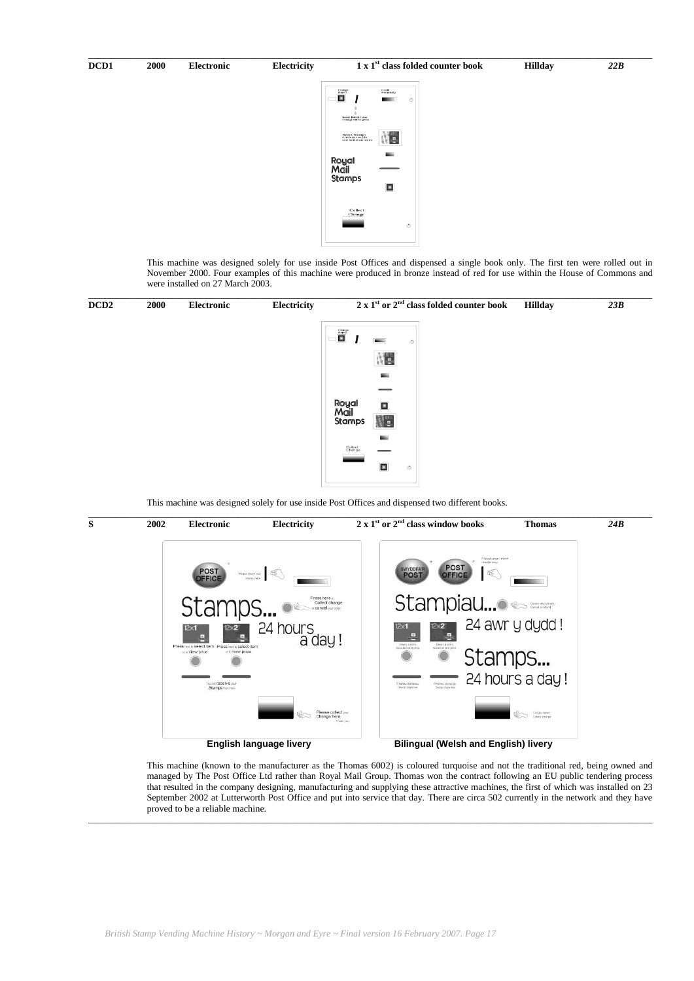

This machine was designed solely for use inside Post Offices and dispensed a single book only. The first ten were rolled out in November 2000. Four examples of this machine were produced in bronze instead of red for use within the House of Commons and were installed on 27 March 2003.



This machine was designed solely for use inside Post Offices and dispensed two different books.

![](_page_16_Figure_4.jpeg)

This machine (known to the manufacturer as the Thomas 6002) is coloured turquoise and not the traditional red, being owned and managed by The Post Office Ltd rather than Royal Mail Group. Thomas won the contract following an EU public tendering process that resulted in the company designing, manufacturing and supplying these attractive machines, the first of which was installed on 23 September 2002 at Lutterworth Post Office and put into service that day. There are circa 502 currently in the network and they have proved to be a reliable machine.

 $\_$  , and the state of the state of the state of the state of the state of the state of the state of the state of the state of the state of the state of the state of the state of the state of the state of the state of the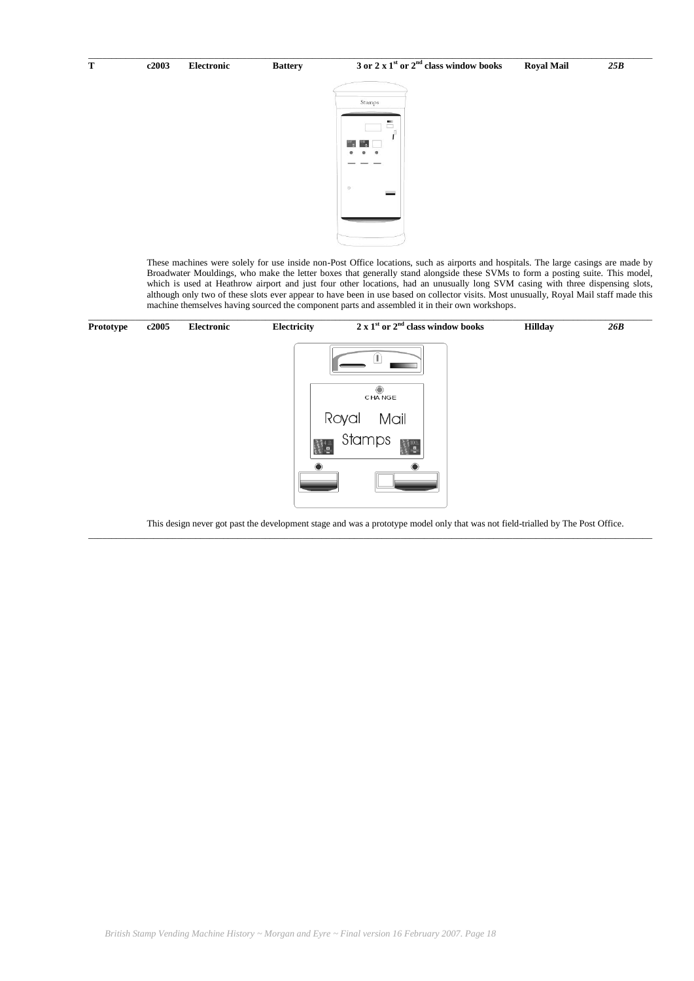![](_page_17_Picture_3.jpeg)

 $\_$  , and the state of the state of the state of the state of the state of the state of the state of the state of the state of the state of the state of the state of the state of the state of the state of the state of the

These machines were solely for use inside non-Post Office locations, such as airports and hospitals. The large casings are made by Broadwater Mouldings, who make the letter boxes that generally stand alongside these SVMs to form a posting suite. This model, which is used at Heathrow airport and just four other locations, had an unusually long SVM casing with three dispensing slots, although only two of these slots ever appear to have been in use based on collector visits. Most unusually, Royal Mail staff made this machine themselves having sourced the component parts and assembled it in their own workshops.

![](_page_17_Figure_5.jpeg)

This design never got past the development stage and was a prototype model only that was not field-trialled by The Post Office.

\_\_\_\_\_\_\_\_\_\_\_\_\_\_\_\_\_\_\_\_\_\_\_\_\_\_\_\_\_\_\_\_\_\_\_\_\_\_\_\_\_\_\_\_\_\_\_\_\_\_\_\_\_\_\_\_\_\_\_\_\_\_\_\_\_\_\_\_\_\_\_\_\_\_\_\_\_\_\_\_\_\_\_\_\_\_\_\_\_\_\_\_\_\_\_\_\_\_\_\_\_\_\_\_\_\_\_\_\_\_\_\_\_\_\_\_\_\_\_\_\_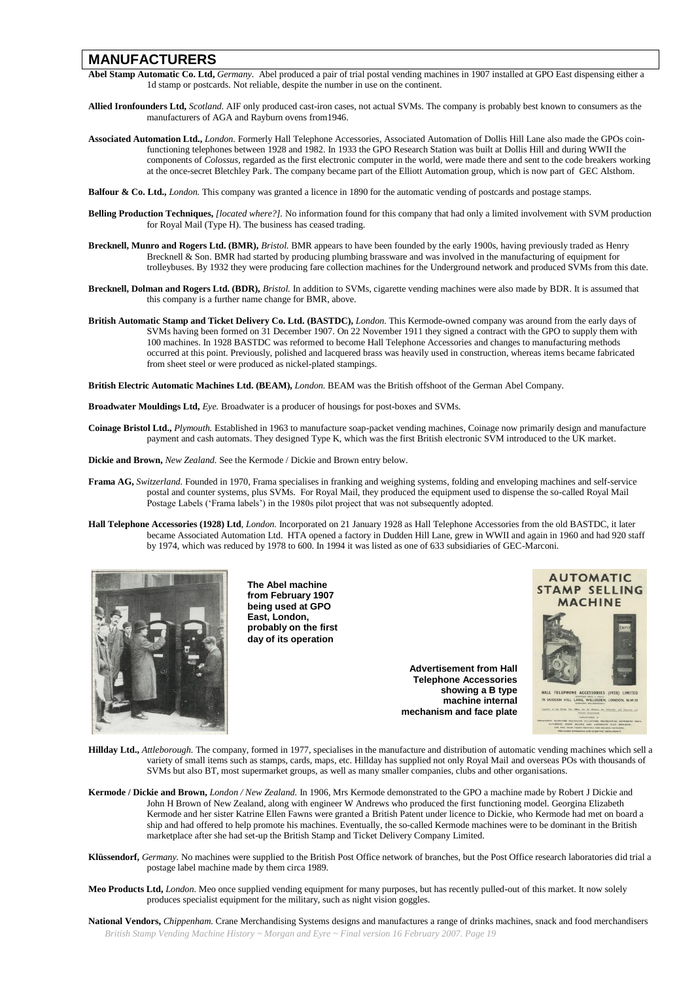# **MANUFACTURERS**

- **Abel Stamp Automatic Co. Ltd,** *Germany.* Abel produced a pair of trial postal vending machines in 1907 installed at GPO East dispensing either a 1d stamp or postcards. Not reliable, despite the number in use on the continent.
- **Allied Ironfounders Ltd,** *Scotland.* AIF only produced cast-iron cases, not actual SVMs. The company is probably best known to consumers as the manufacturers of AGA and Rayburn ovens from1946.
- **Associated Automation Ltd.,** *London.* Formerly Hall Telephone Accessories, Associated Automation of Dollis Hill Lane also made the GPOs coinfunctioning telephones between 1928 and 1982. In 1933 the GPO Research Station was built at Dollis Hill and during WWII the components of *Colossus*, regarded as the first electronic computer in the world, were made there and sent to the code breakers working at the once-secret Bletchley Park. The company became part of the Elliott Automation group, which is now part of GEC Alsthom.
- **Balfour & Co. Ltd.,** *London.* This company was granted a licence in 1890 for the automatic vending of postcards and postage stamps.
- **Belling Production Techniques,** *[located where?].* No information found for this company that had only a limited involvement with SVM production for Royal Mail (Type H). The business has ceased trading.
- **Brecknell, Munro and Rogers Ltd. (BMR),** *Bristol.* BMR appears to have been founded by the early 1900s, having previously traded as Henry Brecknell & Son. BMR had started by producing plumbing brassware and was involved in the manufacturing of equipment for trolleybuses. By 1932 they were producing fare collection machines for the Underground network and produced SVMs from this date.
- **Brecknell, Dolman and Rogers Ltd. (BDR),** *Bristol.* In addition to SVMs, cigarette vending machines were also made by BDR. It is assumed that this company is a further name change for BMR, above.
- **British Automatic Stamp and Ticket Delivery Co. Ltd. (BASTDC),** *London.* This Kermode-owned company was around from the early days of SVMs having been formed on 31 December 1907. On 22 November 1911 they signed a contract with the GPO to supply them with 100 machines. In 1928 BASTDC was reformed to become Hall Telephone Accessories and changes to manufacturing methods occurred at this point. Previously, polished and lacquered brass was heavily used in construction, whereas items became fabricated from sheet steel or were produced as nickel-plated stampings.

**British Electric Automatic Machines Ltd. (BEAM),** *London.* BEAM was the British offshoot of the German Abel Company.

**Broadwater Mouldings Ltd,** *Eye.* Broadwater is a producer of housings for post-boxes and SVMs.

**Coinage Bristol Ltd.,** *Plymouth.* Established in 1963 to manufacture soap-packet vending machines, Coinage now primarily design and manufacture payment and cash automats. They designed Type K, which was the first British electronic SVM introduced to the UK market.

**Dickie and Brown,** *New Zealand.* See the Kermode / Dickie and Brown entry below.

- **Frama AG,** *Switzerland.* Founded in 1970, Frama specialises in franking and weighing systems, folding and enveloping machines and self-service postal and counter systems, plus SVMs. For Royal Mail, they produced the equipment used to dispense the so-called Royal Mail Postage Labels ("Frama labels") in the 1980s pilot project that was not subsequently adopted.
- **Hall Telephone Accessories (1928) Ltd**, *London.* Incorporated on 21 January 1928 as Hall Telephone Accessories from the old BASTDC, it later became Associated Automation Ltd. HTA opened a factory in Dudden Hill Lane, grew in WWII and again in 1960 and had 920 staff by 1974, which was reduced by 1978 to 600. In 1994 it was listed as one of 633 subsidiaries of GEC-Marconi.

![](_page_18_Picture_15.jpeg)

**The Abel machine from February 1907 being used at GPO East, London, probably on the first day of its operation**

> **Advertisement from Hall Telephone Accessories showing a B type machine internal mechanism and face plate**

![](_page_18_Picture_18.jpeg)

- **Hillday Ltd.,** *Attleborough.* The company, formed in 1977, specialises in the manufacture and distribution of automatic vending machines which sell a variety of small items such as stamps, cards, maps, etc. Hillday has supplied not only Royal Mail and overseas POs with thousands of SVMs but also BT, most supermarket groups, as well as many smaller companies, clubs and other organisations.
- **Kermode / Dickie and Brown,** *London / New Zealand.* In 1906, Mrs Kermode demonstrated to the GPO a machine made by Robert J Dickie and John H Brown of New Zealand, along with engineer W Andrews who produced the first functioning model. Georgina Elizabeth Kermode and her sister Katrine Ellen Fawns were granted a British Patent under licence to Dickie, who Kermode had met on board a ship and had offered to help promote his machines. Eventually, the so-called Kermode machines were to be dominant in the British marketplace after she had set-up the British Stamp and Ticket Delivery Company Limited.
- **Klüssendorf,** *Germany.* No machines were supplied to the British Post Office network of branches, but the Post Office research laboratories did trial a postage label machine made by them circa 1989.
- **Meo Products Ltd,** *London.* Meo once supplied vending equipment for many purposes, but has recently pulled-out of this market. It now solely produces specialist equipment for the military, such as night vision goggles.
- *British Stamp Vending Machine History ~ Morgan and Eyre ~ Final version 16 February 2007. Page 19* **National Vendors,** *Chippenham.* Crane Merchandising Systems designs and manufactures a range of drinks machines, snack and food merchandisers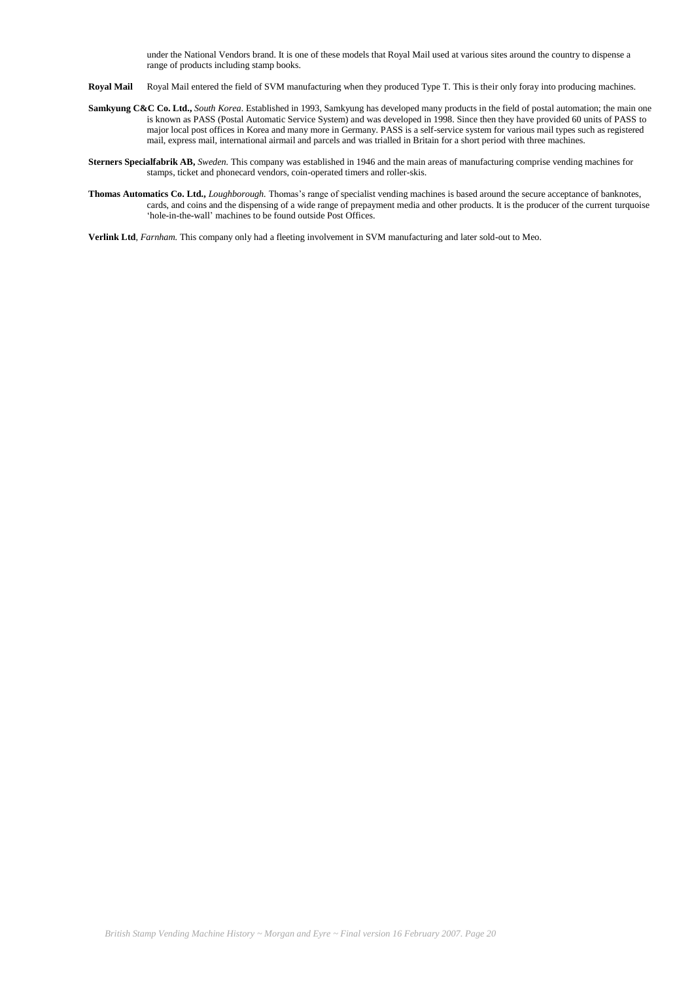under the National Vendors brand. It is one of these models that Royal Mail used at various sites around the country to dispense a range of products including stamp books.

- **Royal Mail** Royal Mail entered the field of SVM manufacturing when they produced Type T. This is their only foray into producing machines.
- **Samkyung C&C Co. Ltd.,** *South Korea.* Established in 1993, Samkyung has developed many products in the field of postal automation; the main one is known as PASS (Postal Automatic Service System) and was developed in 1998. Since then they have provided 60 units of PASS to major local post offices in Korea and many more in Germany. PASS is a self-service system for various mail types such as registered mail, express mail, international airmail and parcels and was trialled in Britain for a short period with three machines.
- **Sterners Specialfabrik AB,** *Sweden.* This company was established in 1946 and the main areas of manufacturing comprise vending machines for stamps, ticket and phonecard vendors, coin-operated timers and roller-skis.
- **Thomas Automatics Co. Ltd.,** *Loughborough.* Thomas"s range of specialist vending machines is based around the secure acceptance of banknotes, cards, and coins and the dispensing of a wide range of prepayment media and other products. It is the producer of the current turquoise 'hole-in-the-wall' machines to be found outside Post Offices.

**Verlink Ltd**, *Farnham.* This company only had a fleeting involvement in SVM manufacturing and later sold-out to Meo.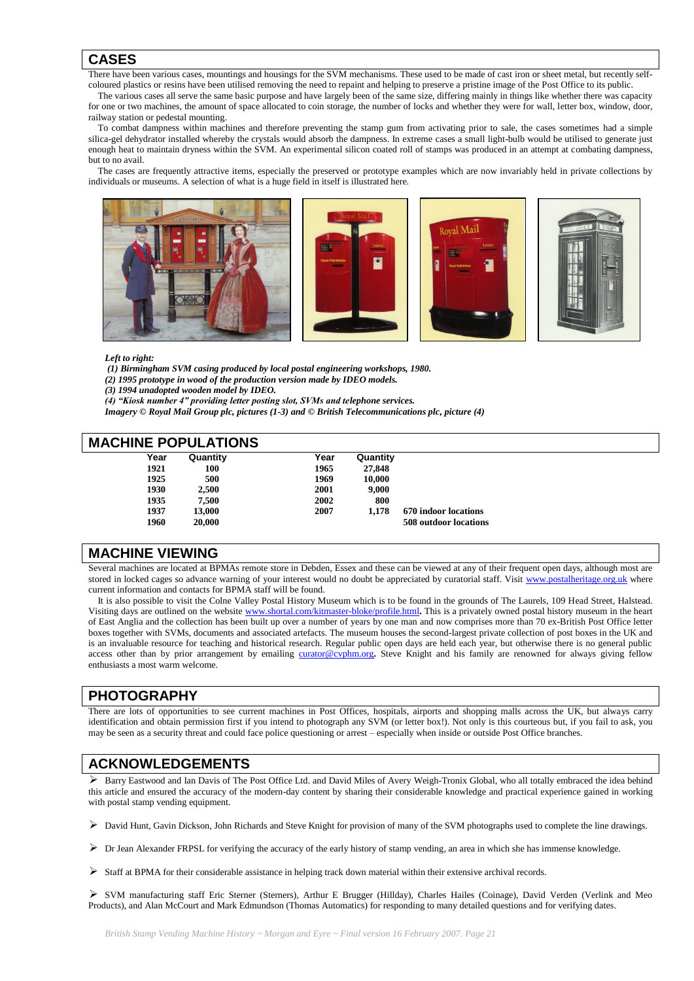# **CASES**

There have been various cases, mountings and housings for the SVM mechanisms. These used to be made of cast iron or sheet metal, but recently self-

coloured plastics or resins have been utilised removing the need to repaint and helping to preserve a pristine image of the Post Office to its public. The various cases all serve the same basic purpose and have largely been of the same size, differing mainly in things like whether there was capacity

for one or two machines, the amount of space allocated to coin storage, the number of locks and whether they were for wall, letter box, window, door, railway station or pedestal mounting.

 To combat dampness within machines and therefore preventing the stamp gum from activating prior to sale, the cases sometimes had a simple silica-gel dehydrator installed whereby the crystals would absorb the dampness. In extreme cases a small light-bulb would be utilised to generate just enough heat to maintain dryness within the SVM. An experimental silicon coated roll of stamps was produced in an attempt at combating dampness, but to no avail.

 The cases are frequently attractive items, especially the preserved or prototype examples which are now invariably held in private collections by individuals or museums. A selection of what is a huge field in itself is illustrated here.

![](_page_20_Picture_6.jpeg)

![](_page_20_Picture_7.jpeg)

![](_page_20_Picture_8.jpeg)

![](_page_20_Picture_9.jpeg)

#### *Left to right:*

*(1) Birmingham SVM casing produced by local postal engineering workshops, 1980.* 

*(2) 1995 prototype in wood of the production version made by IDEO models.* 

*(3) 1994 unadopted wooden model by IDEO.* 

*(4) "Kiosk number 4" providing letter posting slot, SVMs and telephone services.*

*Imagery © Royal Mail Group plc, pictures (1-3) and © British Telecommunications plc, picture (4)*

# **MACHINE POPUL ATIONS**

| UI III E LUI ULAI IUI U |          |      |          |                       |  |  |
|-------------------------|----------|------|----------|-----------------------|--|--|
| Year                    | Quantity | Year | Quantity |                       |  |  |
| 1921                    | 100      | 1965 | 27,848   |                       |  |  |
| 1925                    | 500      | 1969 | 10.000   |                       |  |  |
| 1930                    | 2.500    | 2001 | 9.000    |                       |  |  |
| 1935                    | 7.500    | 2002 | 800      |                       |  |  |
| 1937                    | 13,000   | 2007 | 1.178    | 670 indoor locations  |  |  |
| 1960                    | 20,000   |      |          | 508 outdoor locations |  |  |
|                         |          |      |          |                       |  |  |

# **MACHINE VIEWING**

Several machines are located at BPMAs remote store in Debden, Essex and these can be viewed at any of their frequent open days, although most are stored in locked cages so advance warning of your interest would no doubt be appreciated by curatorial staff. Visit [www.postalheritage.org.uk](http://www.postalheritage.org.uk/) where current information and contacts for BPMA staff will be found.

 It is also possible to visit the Colne Valley Postal History Museum which is to be found in the grounds of The Laurels, 109 Head Street, Halstead. Visiting days are outlined on the websit[e www.shortal.com/kitmaster-bloke/profile.html](http://www.shortal.com/kitmaster-bloke/profile.html)**.** This is a privately owned postal history museum in the heart of East Anglia and the collection has been built up over a number of years by one man and now comprises more than 70 ex-British Post Office letter boxes together with SVMs, documents and associated artefacts. The museum houses the second-largest private collection of post boxes in the UK and is an invaluable resource for teaching and historical research. Regular public open days are held each year, but otherwise there is no general public access other than by prior arrangement by emailing [curator@cvphm.org](mailto:curator@cvphm.org)**.** Steve Knight and his family are renowned for always giving fellow enthusiasts a most warm welcome.

# **PHOTOGRAPHY**

There are lots of opportunities to see current machines in Post Offices, hospitals, airports and shopping malls across the UK, but always carry identification and obtain permission first if you intend to photograph any SVM (or letter box!). Not only is this courteous but, if you fail to ask, you may be seen as a security threat and could face police questioning or arrest – especially when inside or outside Post Office branches.

# **ACKNOWLEDGEMENTS**

 Barry Eastwood and Ian Davis of The Post Office Ltd. and David Miles of Avery Weigh-Tronix Global, who all totally embraced the idea behind this article and ensured the accuracy of the modern-day content by sharing their considerable knowledge and practical experience gained in working with postal stamp vending equipment.

David Hunt, Gavin Dickson, John Richards and Steve Knight for provision of many of the SVM photographs used to complete the line drawings.

- $\triangleright$  Dr Jean Alexander FRPSL for verifying the accuracy of the early history of stamp vending, an area in which she has immense knowledge.
- $\triangleright$  Staff at BPMA for their considerable assistance in helping track down material within their extensive archival records.

 SVM manufacturing staff Eric Sterner (Sterners), Arthur E Brugger (Hillday), Charles Hailes (Coinage), David Verden (Verlink and Meo Products), and Alan McCourt and Mark Edmundson (Thomas Automatics) for responding to many detailed questions and for verifying dates.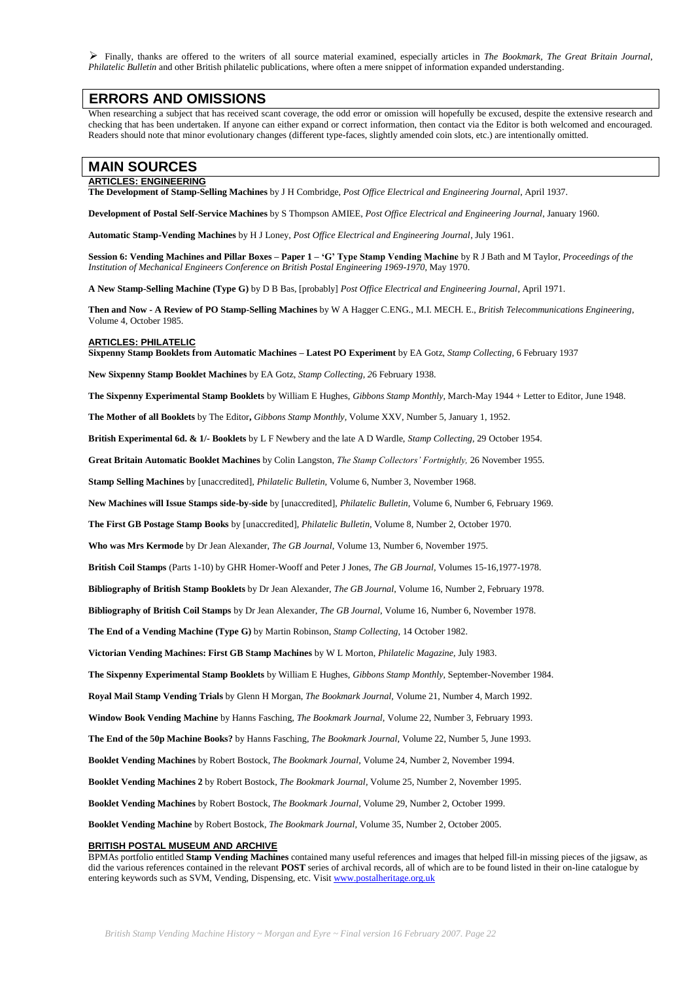Finally, thanks are offered to the writers of all source material examined, especially articles in *The Bookmark, The Great Britain Journal*, *Philatelic Bulletin* and other British philatelic publications, where often a mere snippet of information expanded understanding.

### **ERRORS AND OMISSIONS**

When researching a subject that has received scant coverage, the odd error or omission will hopefully be excused, despite the extensive research and checking that has been undertaken. If anyone can either expand or correct information, then contact via the Editor is both welcomed and encouraged. Readers should note that minor evolutionary changes (different type-faces, slightly amended coin slots, etc.) are intentionally omitted.

### **MAIN SOURCES**

#### **ARTICLES: ENGINEERING**

**The Development of Stamp-Selling Machines** by J H Combridge, *Post Office Electrical and Engineering Journal*, April 1937.

**Development of Postal Self-Service Machines** by S Thompson AMIEE, *Post Office Electrical and Engineering Journal*, January 1960.

**Automatic Stamp-Vending Machines** by H J Loney, *Post Office Electrical and Engineering Journal*, July 1961.

**Session 6: Vending Machines and Pillar Boxes – Paper 1 – 'G' Type Stamp Vending Machine** by R J Bath and M Taylor, *Proceedings of the Institution of Mechanical Engineers Conference on British Postal Engineering 1969-1970*, May 1970.

**A New Stamp-Selling Machine (Type G)** by D B Bas, [probably] *Post Office Electrical and Engineering Journal*, April 1971.

**Then and Now - A Review of PO Stamp-Selling Machines** by W A Hagger C.ENG., M.I. MECH. E., *British Telecommunications Engineering*, Volume 4, October 1985.

#### **ARTICLES: PHILATELIC**

**Sixpenny Stamp Booklets from Automatic Machines – Latest PO Experiment** by EA Gotz, *Stamp Collecting,* 6 February 1937

**New Sixpenny Stamp Booklet Machines** by EA Gotz, *Stamp Collecting, 2*6 February 1938.

**The Sixpenny Experimental Stamp Booklets** by William E Hughes, *Gibbons Stamp Monthly,* March-May 1944 + Letter to Editor, June 1948.

**The Mother of all Booklets** by The Editor**,** *Gibbons Stamp Monthly,* Volume XXV, Number 5, January 1, 1952.

**British Experimental 6d. & 1/- Booklets** by L F Newbery and the late A D Wardle, *Stamp Collecting,* 29 October 1954.

**Great Britain Automatic Booklet Machines** by Colin Langston, *The Stamp Collectors' Fortnightly,* 26 November 1955.

**Stamp Selling Machines** by [unaccredited], *Philatelic Bulletin,* Volume 6, Number 3, November 1968.

**New Machines will Issue Stamps side-by-side** by [unaccredited], *Philatelic Bulletin,* Volume 6, Number 6, February 1969.

**The First GB Postage Stamp Books** by [unaccredited], *Philatelic Bulletin,* Volume 8, Number 2, October 1970.

**Who was Mrs Kermode** by Dr Jean Alexander, *The GB Journal*, Volume 13, Number 6, November 1975.

**British Coil Stamps** (Parts 1-10) by GHR Homer-Wooff and Peter J Jones, *The GB Journal,* Volumes 15-16,1977-1978.

**Bibliography of British Stamp Booklets** by Dr Jean Alexander, *The GB Journal*, Volume 16, Number 2, February 1978.

**Bibliography of British Coil Stamps** by Dr Jean Alexander, *The GB Journal*, Volume 16, Number 6, November 1978.

**The End of a Vending Machine (Type G)** by Martin Robinson, *Stamp Collecting,* 14 October 1982.

**Victorian Vending Machines: First GB Stamp Machines** by W L Morton, *Philatelic Magazine,* July 1983.

**The Sixpenny Experimental Stamp Booklets** by William E Hughes, *Gibbons Stamp Monthly,* September-November 1984.

**Royal Mail Stamp Vending Trials** by Glenn H Morgan, *The Bookmark Journal,* Volume 21, Number 4, March 1992.

**Window Book Vending Machine** by Hanns Fasching, *The Bookmark Journal,* Volume 22, Number 3, February 1993.

**The End of the 50p Machine Books?** by Hanns Fasching, *The Bookmark Journal,* Volume 22, Number 5, June 1993.

**Booklet Vending Machines** by Robert Bostock, *The Bookmark Journal,* Volume 24, Number 2, November 1994.

**Booklet Vending Machines 2** by Robert Bostock, *The Bookmark Journal,* Volume 25, Number 2, November 1995.

**Booklet Vending Machines** by Robert Bostock, *The Bookmark Journal,* Volume 29, Number 2, October 1999.

**Booklet Vending Machine** by Robert Bostock, *The Bookmark Journal,* Volume 35, Number 2, October 2005.

#### **BRITISH POSTAL MUSEUM AND ARCHIVE**

BPMAs portfolio entitled **Stamp Vending Machines** contained many useful references and images that helped fill-in missing pieces of the jigsaw, as did the various references contained in the relevant **POST** series of archival records, all of which are to be found listed in their on-line catalogue by entering keywords such as SVM, Vending, Dispensing, etc. Visi[t www.postalheritage.org.uk](http://www.postalheritage.org.uk/)